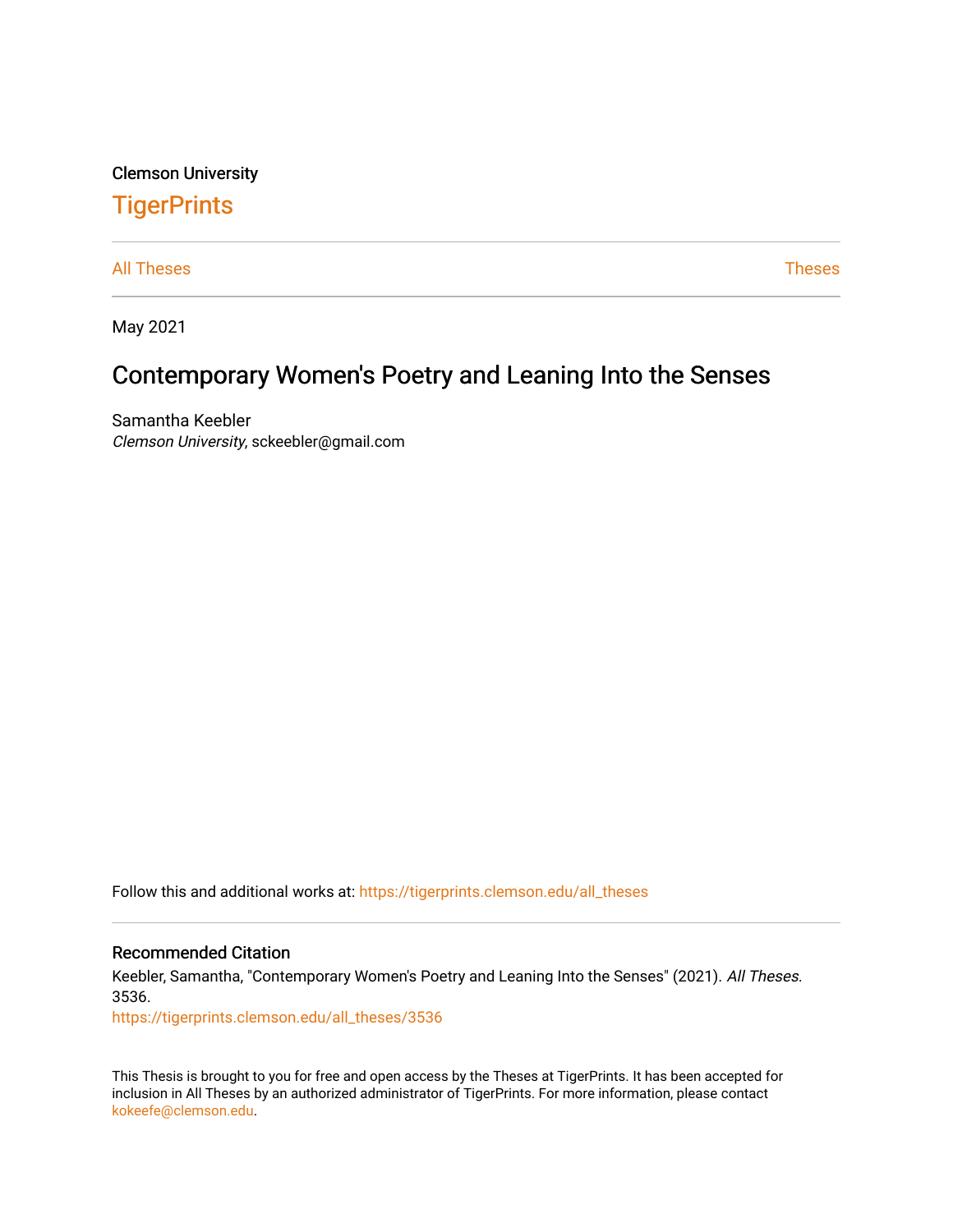Clemson University

# **TigerPrints**

[All Theses](https://tigerprints.clemson.edu/all_theses) **Theses** [Theses](https://tigerprints.clemson.edu/theses) **Theses** 

May 2021

# Contemporary Women's Poetry and Leaning Into the Senses

Samantha Keebler Clemson University, sckeebler@gmail.com

Follow this and additional works at: [https://tigerprints.clemson.edu/all\\_theses](https://tigerprints.clemson.edu/all_theses?utm_source=tigerprints.clemson.edu%2Fall_theses%2F3536&utm_medium=PDF&utm_campaign=PDFCoverPages) 

### Recommended Citation

Keebler, Samantha, "Contemporary Women's Poetry and Leaning Into the Senses" (2021). All Theses. 3536.

[https://tigerprints.clemson.edu/all\\_theses/3536](https://tigerprints.clemson.edu/all_theses/3536?utm_source=tigerprints.clemson.edu%2Fall_theses%2F3536&utm_medium=PDF&utm_campaign=PDFCoverPages) 

This Thesis is brought to you for free and open access by the Theses at TigerPrints. It has been accepted for inclusion in All Theses by an authorized administrator of TigerPrints. For more information, please contact [kokeefe@clemson.edu](mailto:kokeefe@clemson.edu).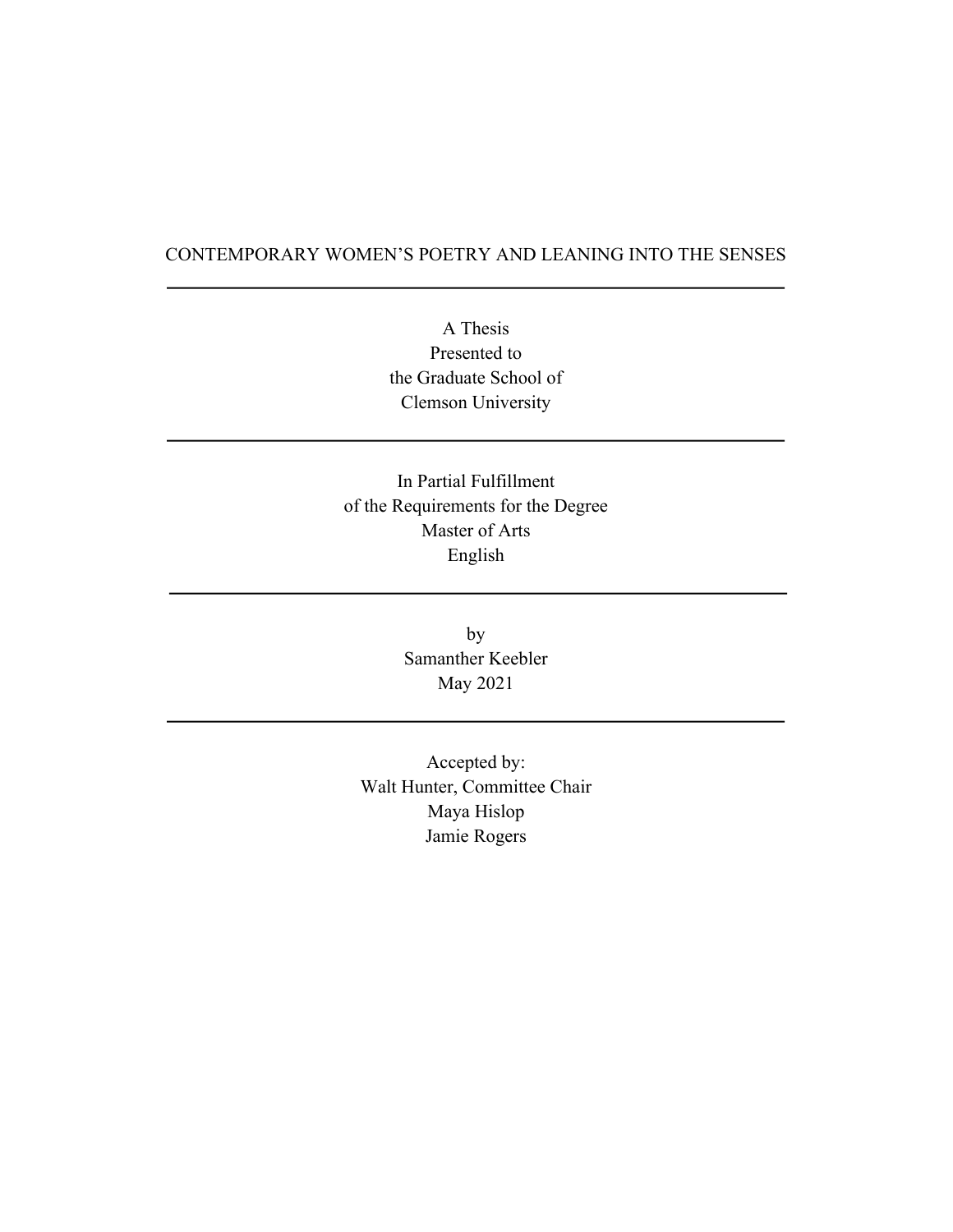## CONTEMPORARY WOMEN'S POETRY AND LEANING INTO THE SENSES

A Thesis Presented to the Graduate School of Clemson University

In Partial Fulfillment of the Requirements for the Degree Master of Arts English

> by Samanther Keebler May 2021

Accepted by: Walt Hunter, Committee Chair Maya Hislop Jamie Rogers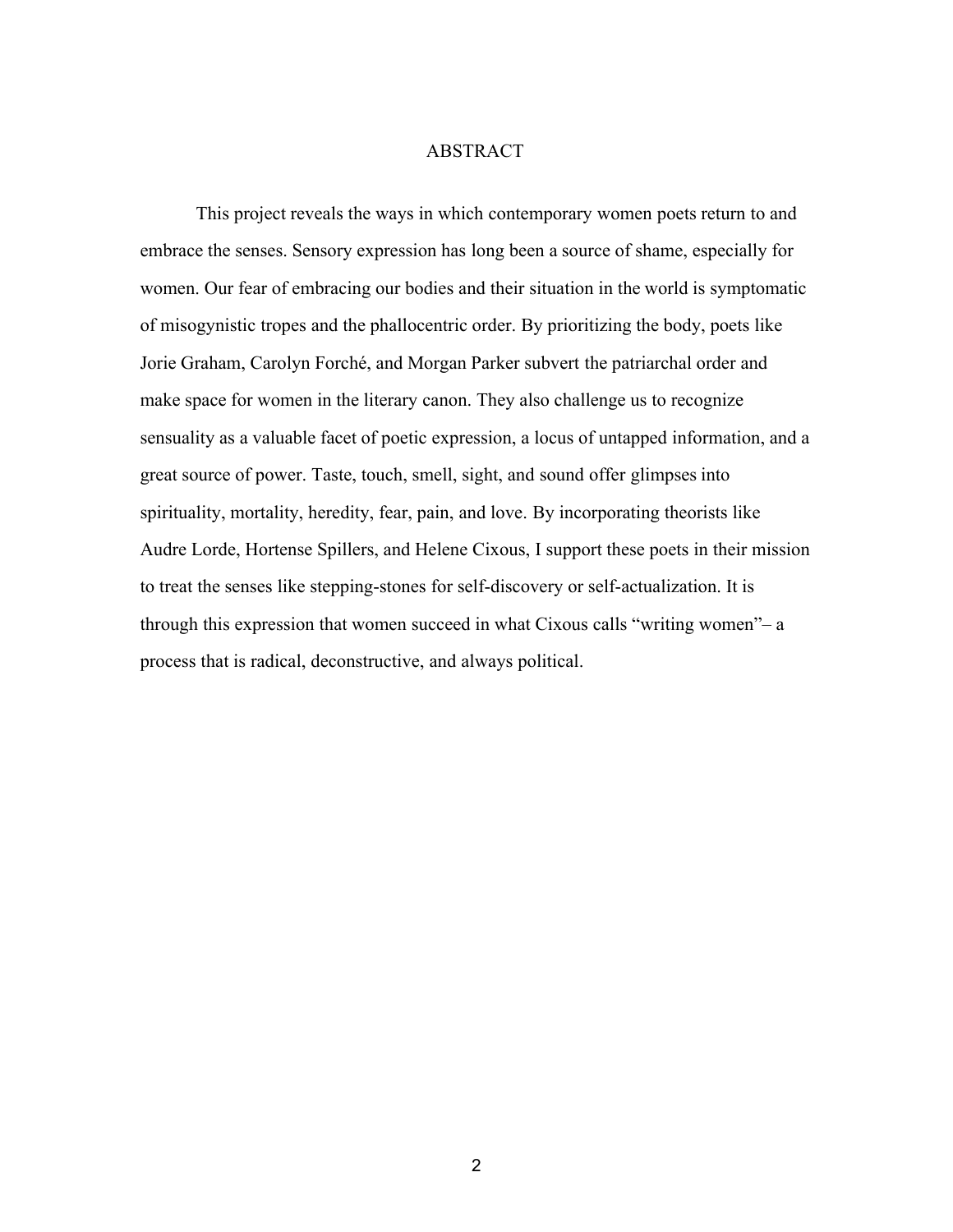#### ABSTRACT

This project reveals the ways in which contemporary women poets return to and embrace the senses. Sensory expression has long been a source of shame, especially for women. Our fear of embracing our bodies and their situation in the world is symptomatic of misogynistic tropes and the phallocentric order. By prioritizing the body, poets like Jorie Graham, Carolyn Forché, and Morgan Parker subvert the patriarchal order and make space for women in the literary canon. They also challenge us to recognize sensuality as a valuable facet of poetic expression, a locus of untapped information, and a great source of power. Taste, touch, smell, sight, and sound offer glimpses into spirituality, mortality, heredity, fear, pain, and love. By incorporating theorists like Audre Lorde, Hortense Spillers, and Helene Cixous, I support these poets in their mission to treat the senses like stepping-stones for self-discovery or self-actualization. It is through this expression that women succeed in what Cixous calls "writing women"– a process that is radical, deconstructive, and always political.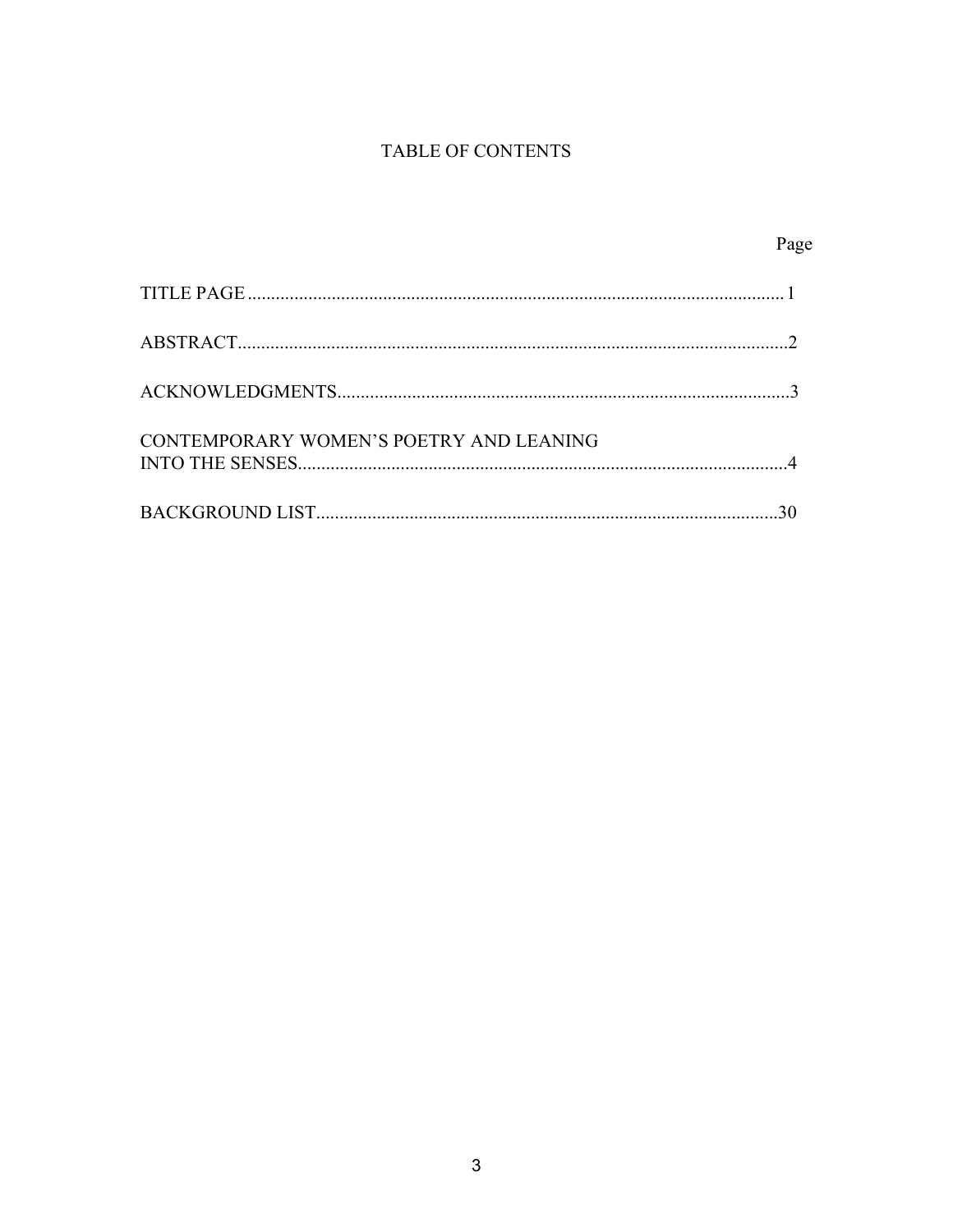# TABLE OF CONTENTS

|                                         | Page |
|-----------------------------------------|------|
|                                         |      |
|                                         |      |
|                                         |      |
| CONTEMPORARY WOMEN'S POETRY AND LEANING |      |
|                                         |      |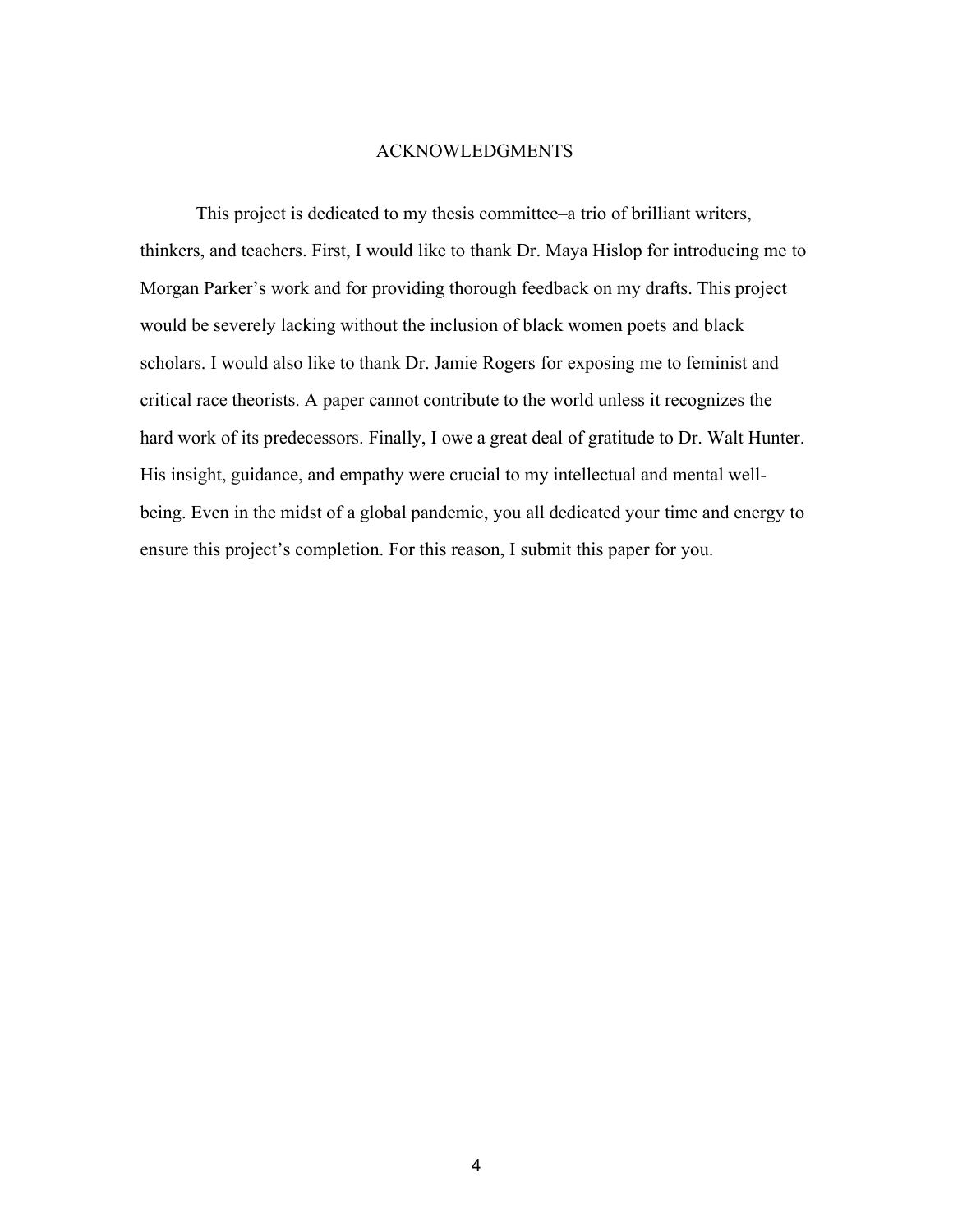#### ACKNOWLEDGMENTS

This project is dedicated to my thesis committee–a trio of brilliant writers, thinkers, and teachers. First, I would like to thank Dr. Maya Hislop for introducing me to Morgan Parker's work and for providing thorough feedback on my drafts. This project would be severely lacking without the inclusion of black women poets and black scholars. I would also like to thank Dr. Jamie Rogers for exposing me to feminist and critical race theorists. A paper cannot contribute to the world unless it recognizes the hard work of its predecessors. Finally, I owe a great deal of gratitude to Dr. Walt Hunter. His insight, guidance, and empathy were crucial to my intellectual and mental wellbeing. Even in the midst of a global pandemic, you all dedicated your time and energy to ensure this project's completion. For this reason, I submit this paper for you.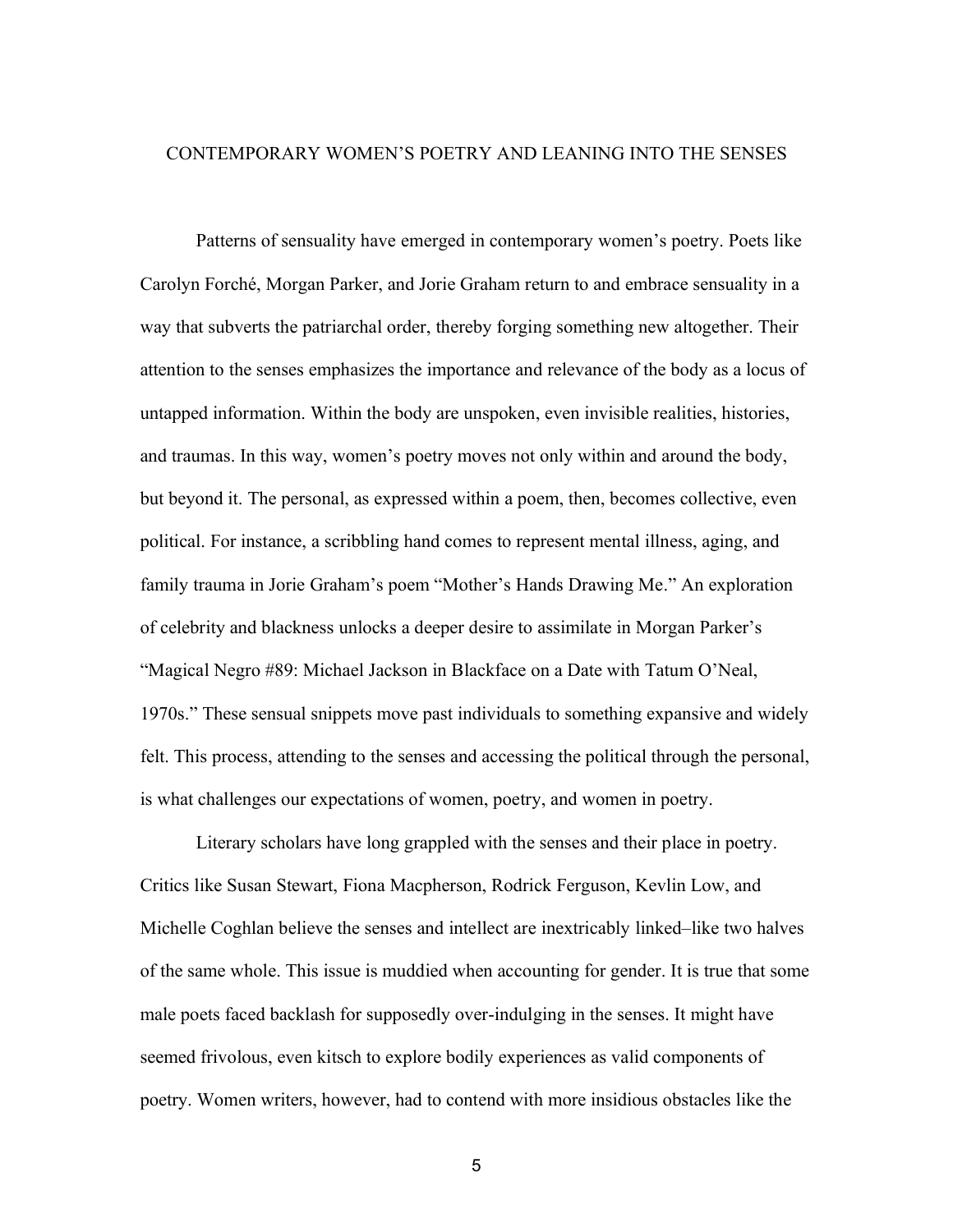### CONTEMPORARY WOMEN'S POETRY AND LEANING INTO THE SENSES

Patterns of sensuality have emerged in contemporary women's poetry. Poets like Carolyn Forché, Morgan Parker, and Jorie Graham return to and embrace sensuality in a way that subverts the patriarchal order, thereby forging something new altogether. Their attention to the senses emphasizes the importance and relevance of the body as a locus of untapped information. Within the body are unspoken, even invisible realities, histories, and traumas. In this way, women's poetry moves not only within and around the body, but beyond it. The personal, as expressed within a poem, then, becomes collective, even political. For instance, a scribbling hand comes to represent mental illness, aging, and family trauma in Jorie Graham's poem "Mother's Hands Drawing Me." An exploration of celebrity and blackness unlocks a deeper desire to assimilate in Morgan Parker's "Magical Negro #89: Michael Jackson in Blackface on a Date with Tatum O'Neal, 1970s." These sensual snippets move past individuals to something expansive and widely felt. This process, attending to the senses and accessing the political through the personal, is what challenges our expectations of women, poetry, and women in poetry.

Literary scholars have long grappled with the senses and their place in poetry. Critics like Susan Stewart, Fiona Macpherson, Rodrick Ferguson, Kevlin Low, and Michelle Coghlan believe the senses and intellect are inextricably linked–like two halves of the same whole. This issue is muddied when accounting for gender. It is true that some male poets faced backlash for supposedly over-indulging in the senses. It might have seemed frivolous, even kitsch to explore bodily experiences as valid components of poetry. Women writers, however, had to contend with more insidious obstacles like the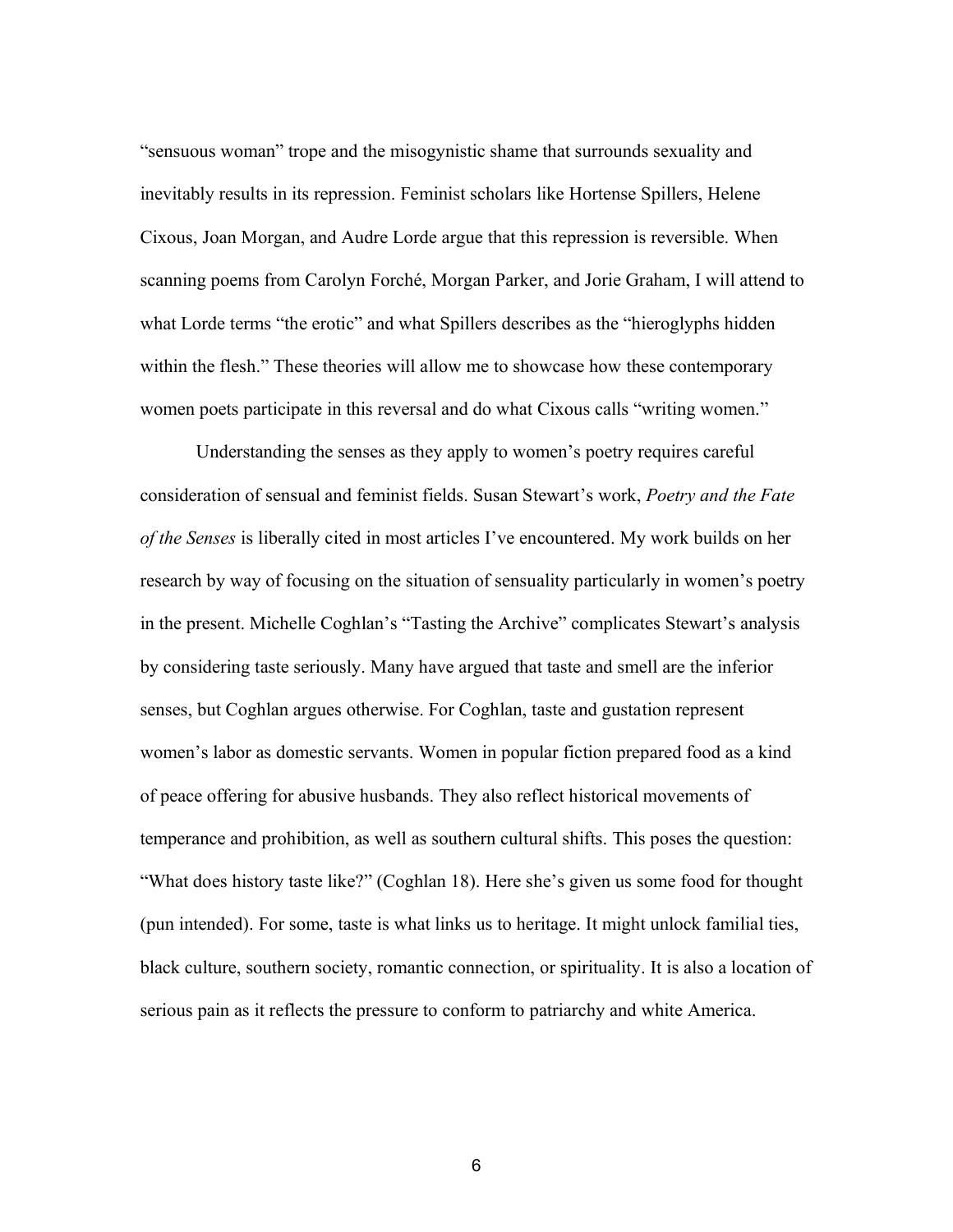"sensuous woman" trope and the misogynistic shame that surrounds sexuality and inevitably results in its repression. Feminist scholars like Hortense Spillers, Helene Cixous, Joan Morgan, and Audre Lorde argue that this repression is reversible. When scanning poems from Carolyn Forché, Morgan Parker, and Jorie Graham, I will attend to what Lorde terms "the erotic" and what Spillers describes as the "hieroglyphs hidden within the flesh." These theories will allow me to showcase how these contemporary women poets participate in this reversal and do what Cixous calls "writing women."

Understanding the senses as they apply to women's poetry requires careful consideration of sensual and feminist fields. Susan Stewart's work, *Poetry and the Fate of the Senses* is liberally cited in most articles I've encountered. My work builds on her research by way of focusing on the situation of sensuality particularly in women's poetry in the present. Michelle Coghlan's "Tasting the Archive" complicates Stewart's analysis by considering taste seriously. Many have argued that taste and smell are the inferior senses, but Coghlan argues otherwise. For Coghlan, taste and gustation represent women's labor as domestic servants. Women in popular fiction prepared food as a kind of peace offering for abusive husbands. They also reflect historical movements of temperance and prohibition, as well as southern cultural shifts. This poses the question: "What does history taste like?" (Coghlan 18). Here she's given us some food for thought (pun intended). For some, taste is what links us to heritage. It might unlock familial ties, black culture, southern society, romantic connection, or spirituality. It is also a location of serious pain as it reflects the pressure to conform to patriarchy and white America.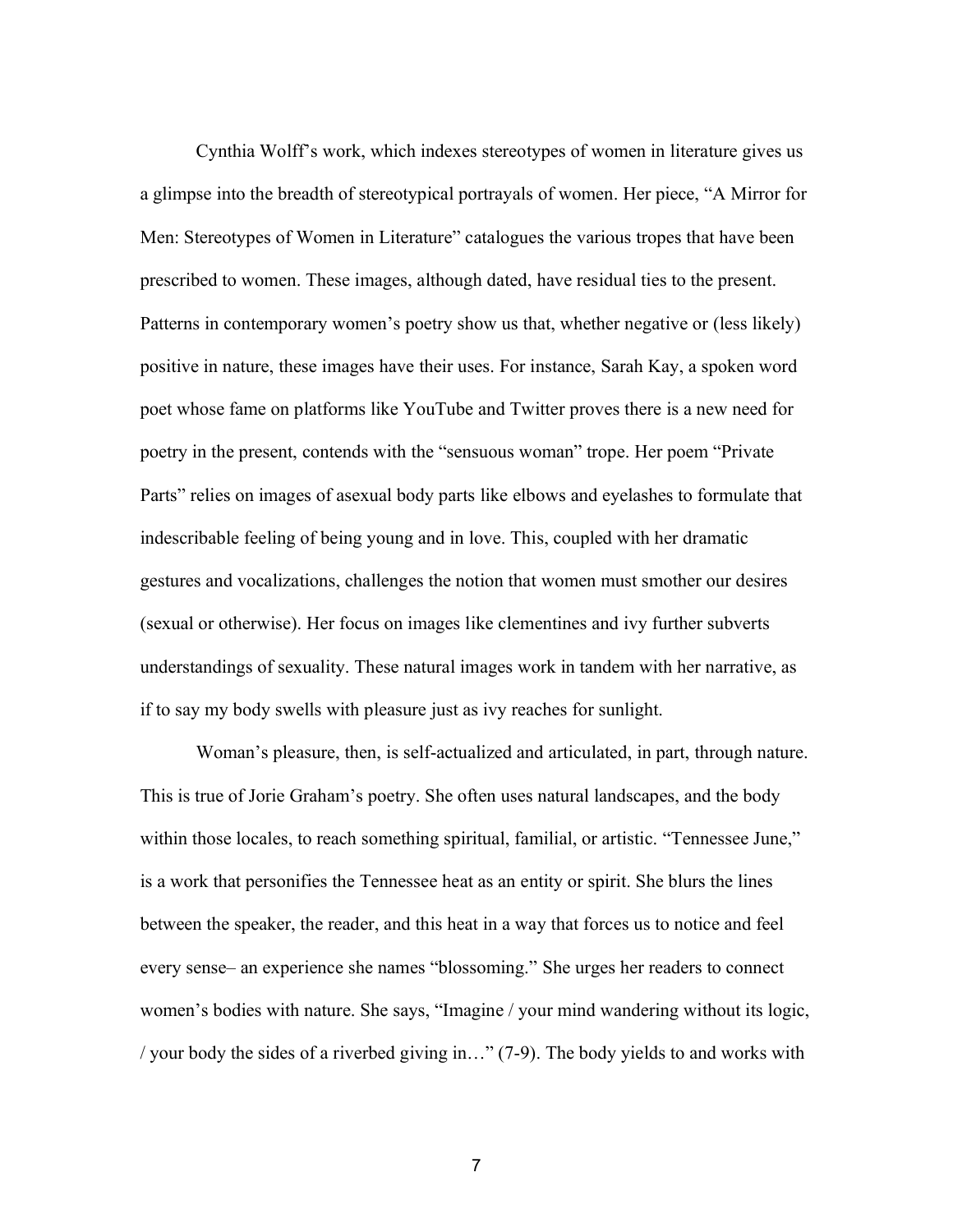Cynthia Wolff's work, which indexes stereotypes of women in literature gives us a glimpse into the breadth of stereotypical portrayals of women. Her piece, "A Mirror for Men: Stereotypes of Women in Literature" catalogues the various tropes that have been prescribed to women. These images, although dated, have residual ties to the present. Patterns in contemporary women's poetry show us that, whether negative or (less likely) positive in nature, these images have their uses. For instance, Sarah Kay, a spoken word poet whose fame on platforms like YouTube and Twitter proves there is a new need for poetry in the present, contends with the "sensuous woman" trope. Her poem "Private Parts" relies on images of asexual body parts like elbows and eyelashes to formulate that indescribable feeling of being young and in love. This, coupled with her dramatic gestures and vocalizations, challenges the notion that women must smother our desires (sexual or otherwise). Her focus on images like clementines and ivy further subverts understandings of sexuality. These natural images work in tandem with her narrative, as if to say my body swells with pleasure just as ivy reaches for sunlight.

Woman's pleasure, then, is self-actualized and articulated, in part, through nature. This is true of Jorie Graham's poetry. She often uses natural landscapes, and the body within those locales, to reach something spiritual, familial, or artistic. "Tennessee June," is a work that personifies the Tennessee heat as an entity or spirit. She blurs the lines between the speaker, the reader, and this heat in a way that forces us to notice and feel every sense– an experience she names "blossoming." She urges her readers to connect women's bodies with nature. She says, "Imagine / your mind wandering without its logic, / your body the sides of a riverbed giving in…" (7-9). The body yields to and works with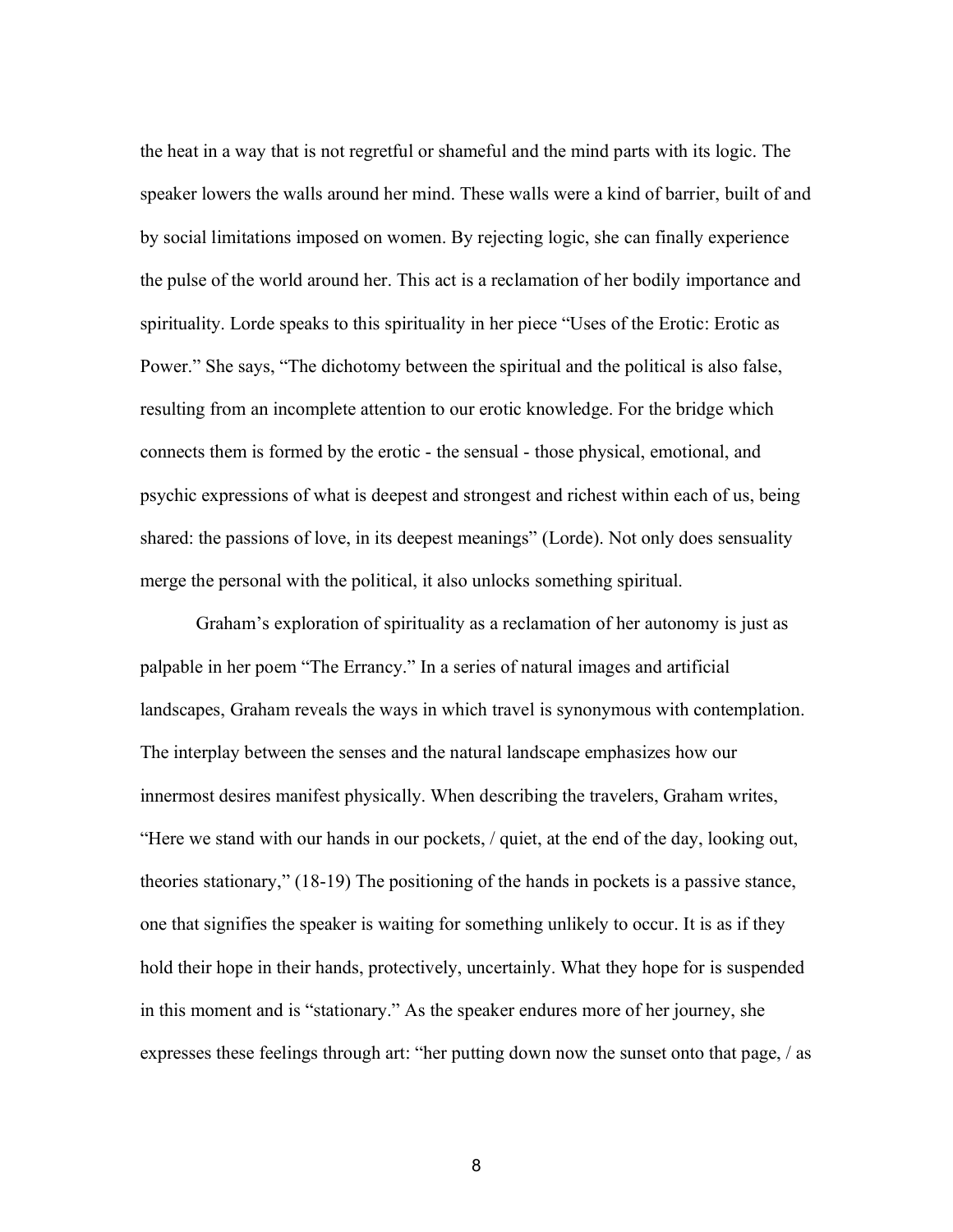the heat in a way that is not regretful or shameful and the mind parts with its logic. The speaker lowers the walls around her mind. These walls were a kind of barrier, built of and by social limitations imposed on women. By rejecting logic, she can finally experience the pulse of the world around her. This act is a reclamation of her bodily importance and spirituality. Lorde speaks to this spirituality in her piece "Uses of the Erotic: Erotic as Power." She says, "The dichotomy between the spiritual and the political is also false, resulting from an incomplete attention to our erotic knowledge. For the bridge which connects them is formed by the erotic - the sensual - those physical, emotional, and psychic expressions of what is deepest and strongest and richest within each of us, being shared: the passions of love, in its deepest meanings" (Lorde). Not only does sensuality merge the personal with the political, it also unlocks something spiritual.

Graham's exploration of spirituality as a reclamation of her autonomy is just as palpable in her poem "The Errancy." In a series of natural images and artificial landscapes, Graham reveals the ways in which travel is synonymous with contemplation. The interplay between the senses and the natural landscape emphasizes how our innermost desires manifest physically. When describing the travelers, Graham writes, "Here we stand with our hands in our pockets, / quiet, at the end of the day, looking out, theories stationary," (18-19) The positioning of the hands in pockets is a passive stance, one that signifies the speaker is waiting for something unlikely to occur. It is as if they hold their hope in their hands, protectively, uncertainly. What they hope for is suspended in this moment and is "stationary." As the speaker endures more of her journey, she expresses these feelings through art: "her putting down now the sunset onto that page, / as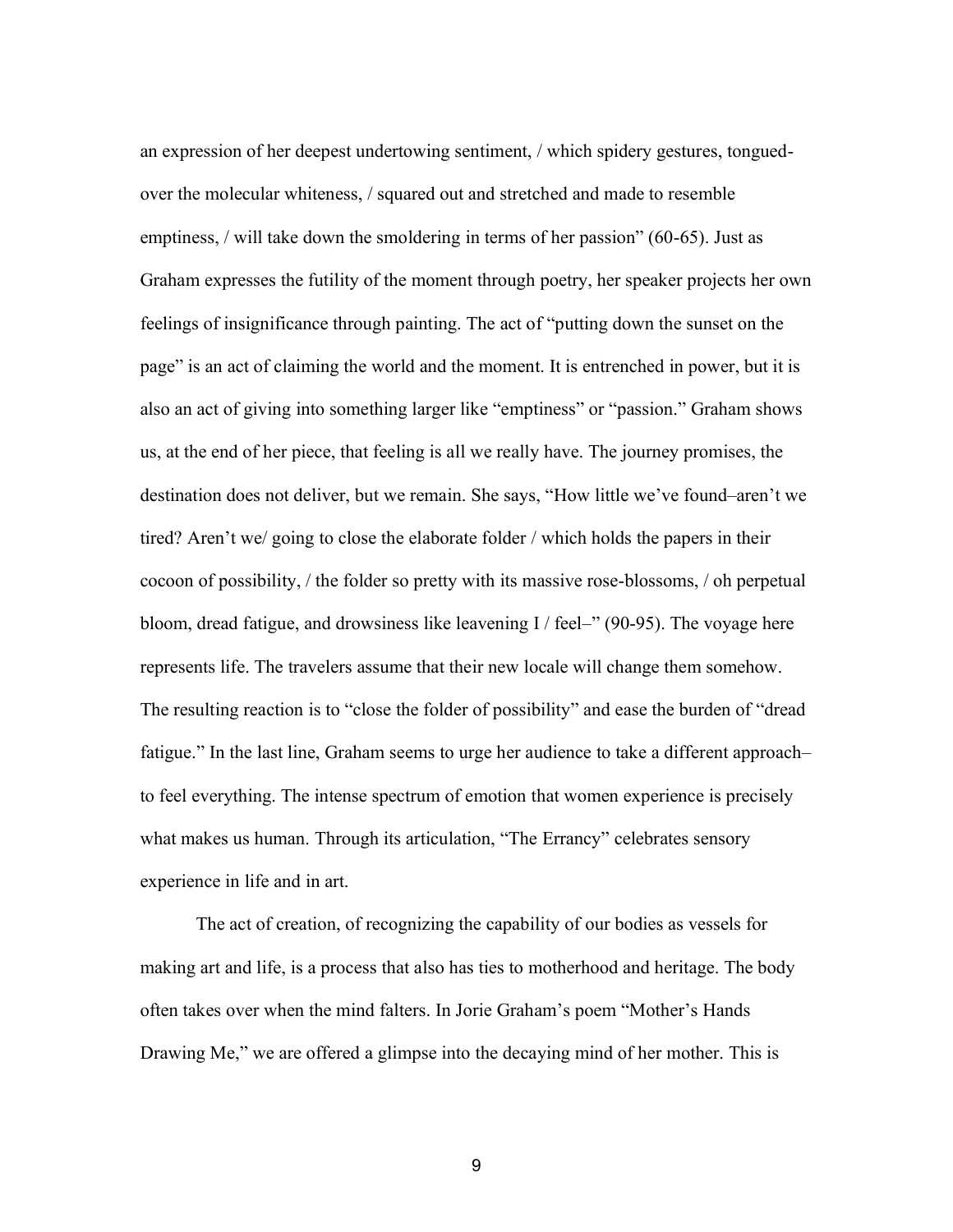an expression of her deepest undertowing sentiment, / which spidery gestures, tonguedover the molecular whiteness, / squared out and stretched and made to resemble emptiness, / will take down the smoldering in terms of her passion" (60-65). Just as Graham expresses the futility of the moment through poetry, her speaker projects her own feelings of insignificance through painting. The act of "putting down the sunset on the page" is an act of claiming the world and the moment. It is entrenched in power, but it is also an act of giving into something larger like "emptiness" or "passion." Graham shows us, at the end of her piece, that feeling is all we really have. The journey promises, the destination does not deliver, but we remain. She says, "How little we've found–aren't we tired? Aren't we/ going to close the elaborate folder / which holds the papers in their cocoon of possibility, / the folder so pretty with its massive rose-blossoms, / oh perpetual bloom, dread fatigue, and drowsiness like leavening I / feel–" (90-95). The voyage here represents life. The travelers assume that their new locale will change them somehow. The resulting reaction is to "close the folder of possibility" and ease the burden of "dread fatigue." In the last line, Graham seems to urge her audience to take a different approach– to feel everything. The intense spectrum of emotion that women experience is precisely what makes us human. Through its articulation, "The Errancy" celebrates sensory experience in life and in art.

The act of creation, of recognizing the capability of our bodies as vessels for making art and life, is a process that also has ties to motherhood and heritage. The body often takes over when the mind falters. In Jorie Graham's poem "Mother's Hands Drawing Me," we are offered a glimpse into the decaying mind of her mother. This is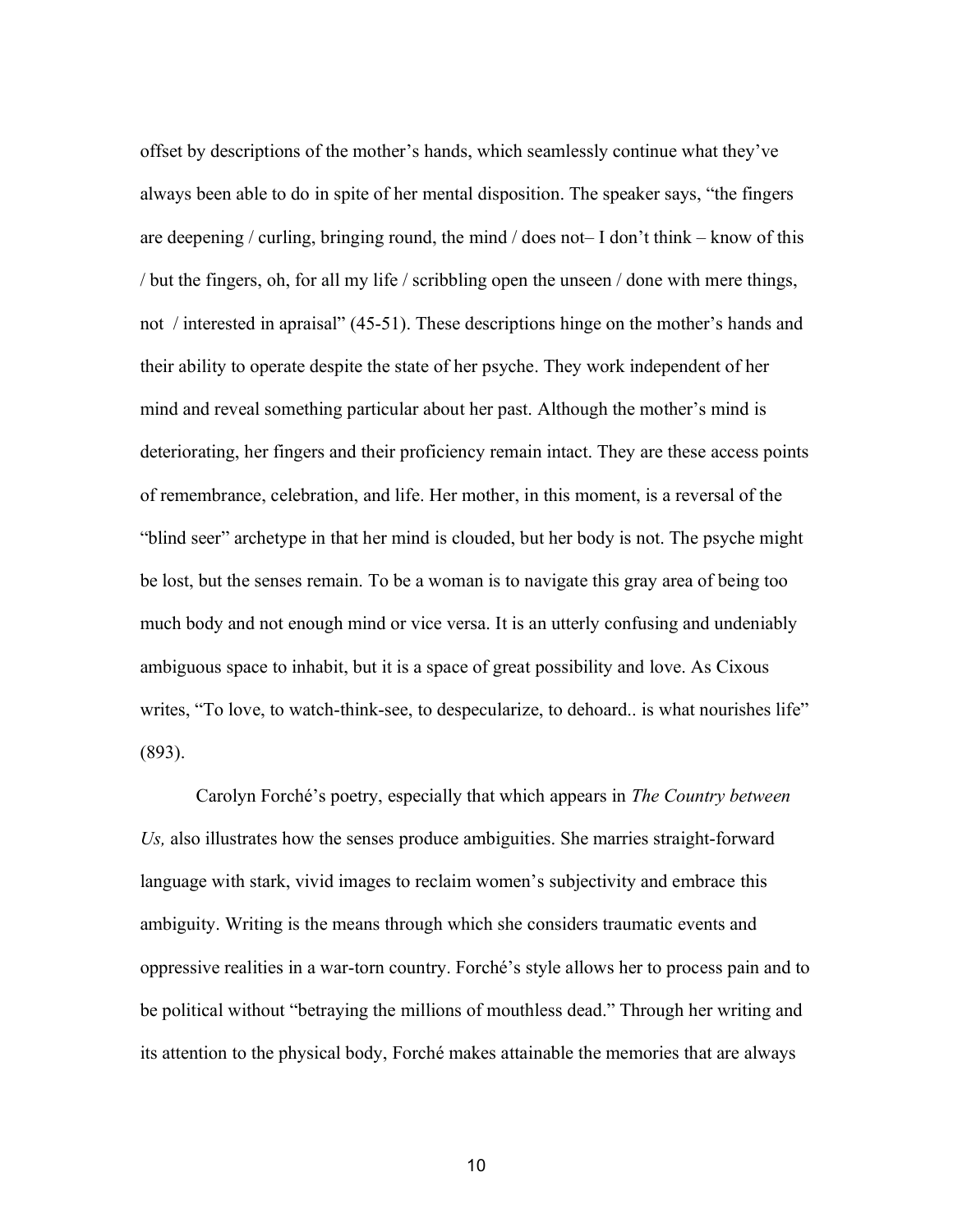offset by descriptions of the mother's hands, which seamlessly continue what they've always been able to do in spite of her mental disposition. The speaker says, "the fingers are deepening / curling, bringing round, the mind  $\ell$  does not– I don't think – know of this / but the fingers, oh, for all my life / scribbling open the unseen / done with mere things, not / interested in apraisal" (45-51). These descriptions hinge on the mother's hands and their ability to operate despite the state of her psyche. They work independent of her mind and reveal something particular about her past. Although the mother's mind is deteriorating, her fingers and their proficiency remain intact. They are these access points of remembrance, celebration, and life. Her mother, in this moment, is a reversal of the "blind seer" archetype in that her mind is clouded, but her body is not. The psyche might be lost, but the senses remain. To be a woman is to navigate this gray area of being too much body and not enough mind or vice versa. It is an utterly confusing and undeniably ambiguous space to inhabit, but it is a space of great possibility and love. As Cixous writes, "To love, to watch-think-see, to despecularize, to dehoard.. is what nourishes life" (893).

Carolyn Forché's poetry, especially that which appears in *The Country between Us,* also illustrates how the senses produce ambiguities. She marries straight-forward language with stark, vivid images to reclaim women's subjectivity and embrace this ambiguity. Writing is the means through which she considers traumatic events and oppressive realities in a war-torn country. Forché's style allows her to process pain and to be political without "betraying the millions of mouthless dead." Through her writing and its attention to the physical body, Forché makes attainable the memories that are always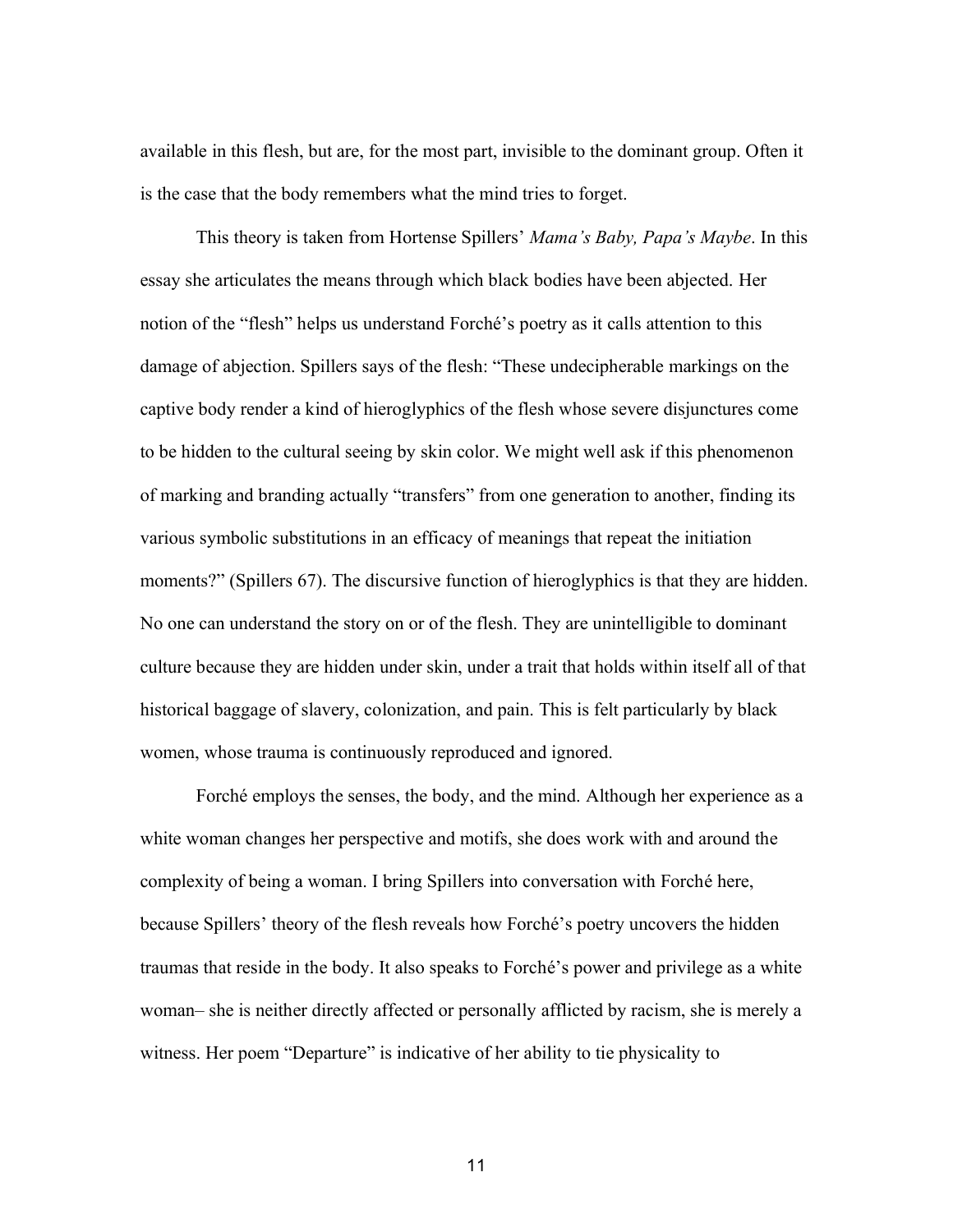available in this flesh, but are, for the most part, invisible to the dominant group. Often it is the case that the body remembers what the mind tries to forget.

This theory is taken from Hortense Spillers' *Mama's Baby, Papa's Maybe*. In this essay she articulates the means through which black bodies have been abjected. Her notion of the "flesh" helps us understand Forché's poetry as it calls attention to this damage of abjection. Spillers says of the flesh: "These undecipherable markings on the captive body render a kind of hieroglyphics of the flesh whose severe disjunctures come to be hidden to the cultural seeing by skin color. We might well ask if this phenomenon of marking and branding actually "transfers" from one generation to another, finding its various symbolic substitutions in an efficacy of meanings that repeat the initiation moments?" (Spillers 67). The discursive function of hieroglyphics is that they are hidden. No one can understand the story on or of the flesh. They are unintelligible to dominant culture because they are hidden under skin, under a trait that holds within itself all of that historical baggage of slavery, colonization, and pain. This is felt particularly by black women, whose trauma is continuously reproduced and ignored.

Forché employs the senses, the body, and the mind. Although her experience as a white woman changes her perspective and motifs, she does work with and around the complexity of being a woman. I bring Spillers into conversation with Forché here, because Spillers' theory of the flesh reveals how Forché's poetry uncovers the hidden traumas that reside in the body. It also speaks to Forché's power and privilege as a white woman– she is neither directly affected or personally afflicted by racism, she is merely a witness. Her poem "Departure" is indicative of her ability to tie physicality to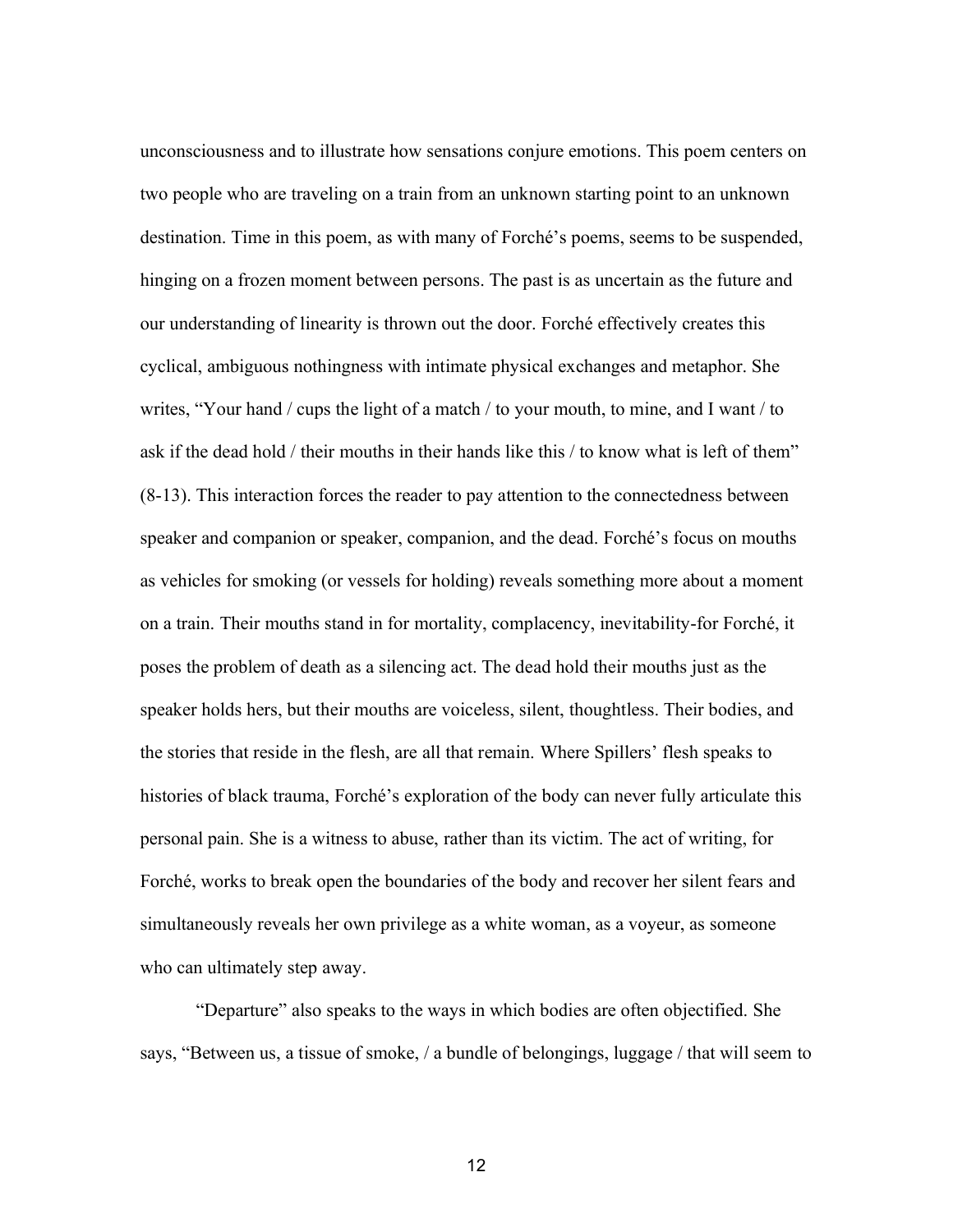unconsciousness and to illustrate how sensations conjure emotions. This poem centers on two people who are traveling on a train from an unknown starting point to an unknown destination. Time in this poem, as with many of Forché's poems, seems to be suspended, hinging on a frozen moment between persons. The past is as uncertain as the future and our understanding of linearity is thrown out the door. Forché effectively creates this cyclical, ambiguous nothingness with intimate physical exchanges and metaphor. She writes, "Your hand / cups the light of a match / to your mouth, to mine, and I want / to ask if the dead hold / their mouths in their hands like this / to know what is left of them" (8-13). This interaction forces the reader to pay attention to the connectedness between speaker and companion or speaker, companion, and the dead. Forché's focus on mouths as vehicles for smoking (or vessels for holding) reveals something more about a moment on a train. Their mouths stand in for mortality, complacency, inevitability-for Forché, it poses the problem of death as a silencing act. The dead hold their mouths just as the speaker holds hers, but their mouths are voiceless, silent, thoughtless. Their bodies, and the stories that reside in the flesh, are all that remain. Where Spillers' flesh speaks to histories of black trauma, Forché's exploration of the body can never fully articulate this personal pain. She is a witness to abuse, rather than its victim. The act of writing, for Forché, works to break open the boundaries of the body and recover her silent fears and simultaneously reveals her own privilege as a white woman, as a voyeur, as someone who can ultimately step away.

"Departure" also speaks to the ways in which bodies are often objectified. She says, "Between us, a tissue of smoke, / a bundle of belongings, luggage / that will seem to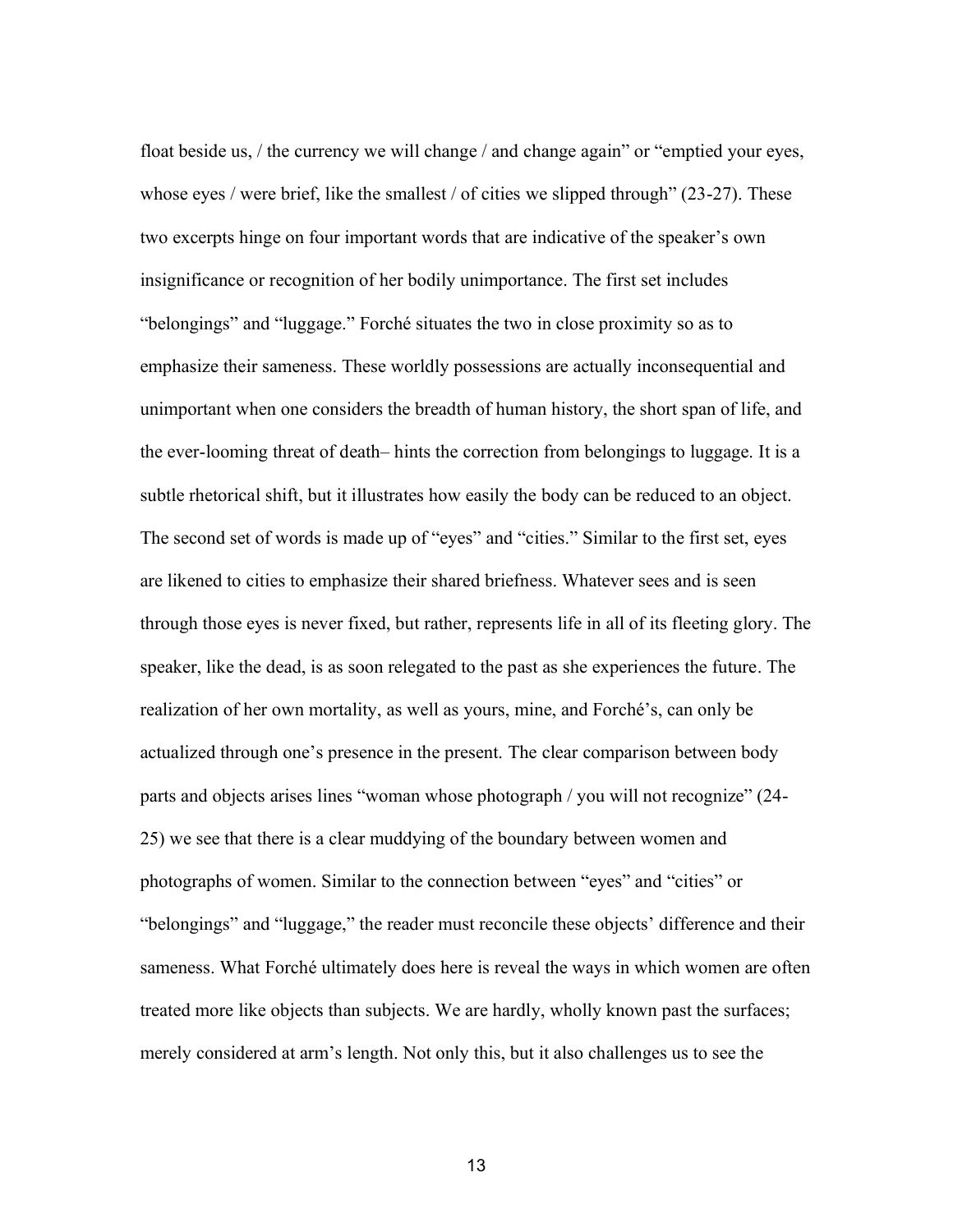float beside us, / the currency we will change / and change again" or "emptied your eyes, whose eyes / were brief, like the smallest / of cities we slipped through" (23-27). These two excerpts hinge on four important words that are indicative of the speaker's own insignificance or recognition of her bodily unimportance. The first set includes "belongings" and "luggage." Forché situates the two in close proximity so as to emphasize their sameness. These worldly possessions are actually inconsequential and unimportant when one considers the breadth of human history, the short span of life, and the ever-looming threat of death– hints the correction from belongings to luggage. It is a subtle rhetorical shift, but it illustrates how easily the body can be reduced to an object. The second set of words is made up of "eyes" and "cities." Similar to the first set, eyes are likened to cities to emphasize their shared briefness. Whatever sees and is seen through those eyes is never fixed, but rather, represents life in all of its fleeting glory. The speaker, like the dead, is as soon relegated to the past as she experiences the future. The realization of her own mortality, as well as yours, mine, and Forché's, can only be actualized through one's presence in the present. The clear comparison between body parts and objects arises lines "woman whose photograph / you will not recognize" (24- 25) we see that there is a clear muddying of the boundary between women and photographs of women. Similar to the connection between "eyes" and "cities" or "belongings" and "luggage," the reader must reconcile these objects' difference and their sameness. What Forché ultimately does here is reveal the ways in which women are often treated more like objects than subjects. We are hardly, wholly known past the surfaces; merely considered at arm's length. Not only this, but it also challenges us to see the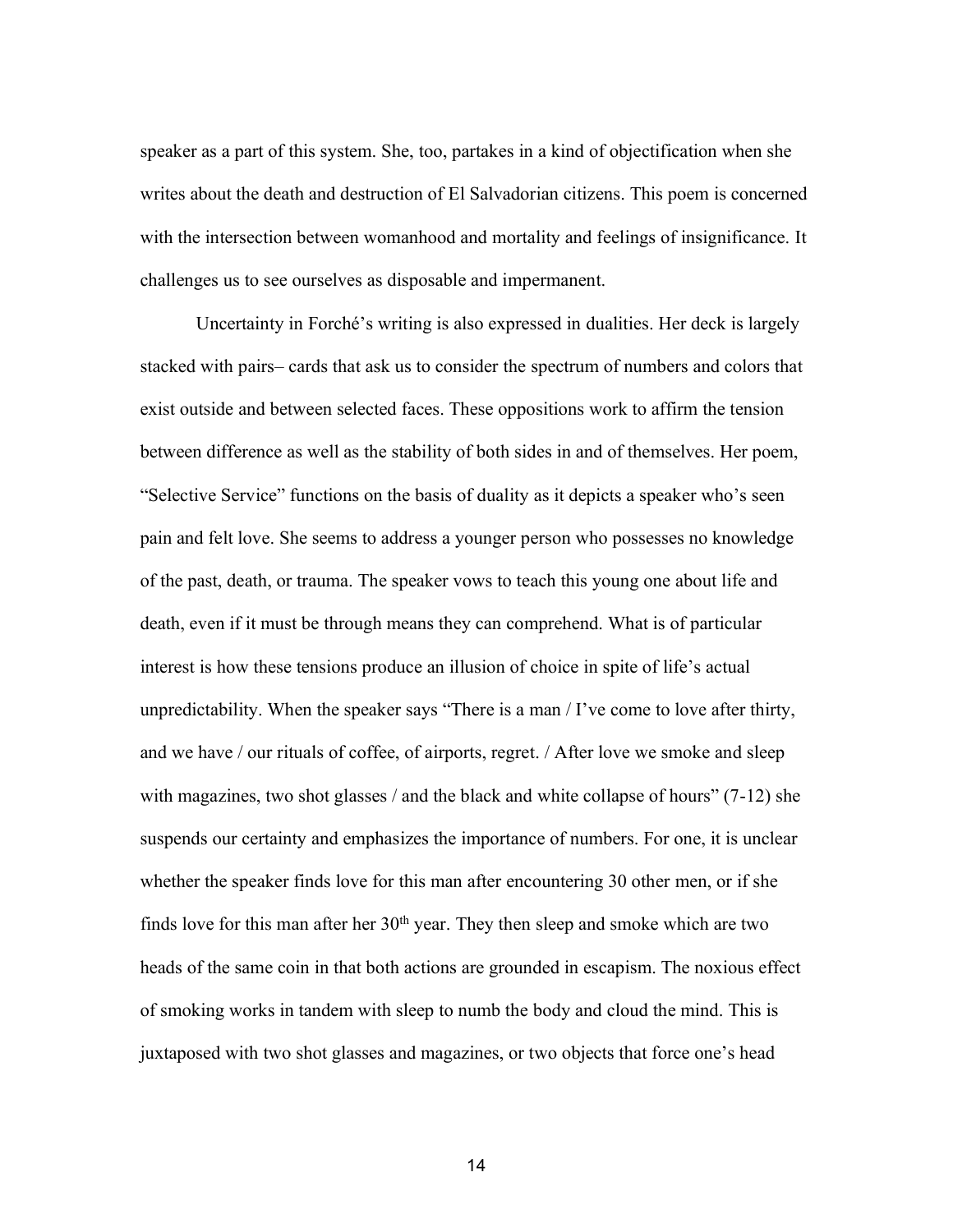speaker as a part of this system. She, too, partakes in a kind of objectification when she writes about the death and destruction of El Salvadorian citizens. This poem is concerned with the intersection between womanhood and mortality and feelings of insignificance. It challenges us to see ourselves as disposable and impermanent.

Uncertainty in Forché's writing is also expressed in dualities. Her deck is largely stacked with pairs– cards that ask us to consider the spectrum of numbers and colors that exist outside and between selected faces. These oppositions work to affirm the tension between difference as well as the stability of both sides in and of themselves. Her poem, "Selective Service" functions on the basis of duality as it depicts a speaker who's seen pain and felt love. She seems to address a younger person who possesses no knowledge of the past, death, or trauma. The speaker vows to teach this young one about life and death, even if it must be through means they can comprehend. What is of particular interest is how these tensions produce an illusion of choice in spite of life's actual unpredictability. When the speaker says "There is a man / I've come to love after thirty, and we have / our rituals of coffee, of airports, regret. / After love we smoke and sleep with magazines, two shot glasses / and the black and white collapse of hours" (7-12) she suspends our certainty and emphasizes the importance of numbers. For one, it is unclear whether the speaker finds love for this man after encountering 30 other men, or if she finds love for this man after her  $30<sup>th</sup>$  year. They then sleep and smoke which are two heads of the same coin in that both actions are grounded in escapism. The noxious effect of smoking works in tandem with sleep to numb the body and cloud the mind. This is juxtaposed with two shot glasses and magazines, or two objects that force one's head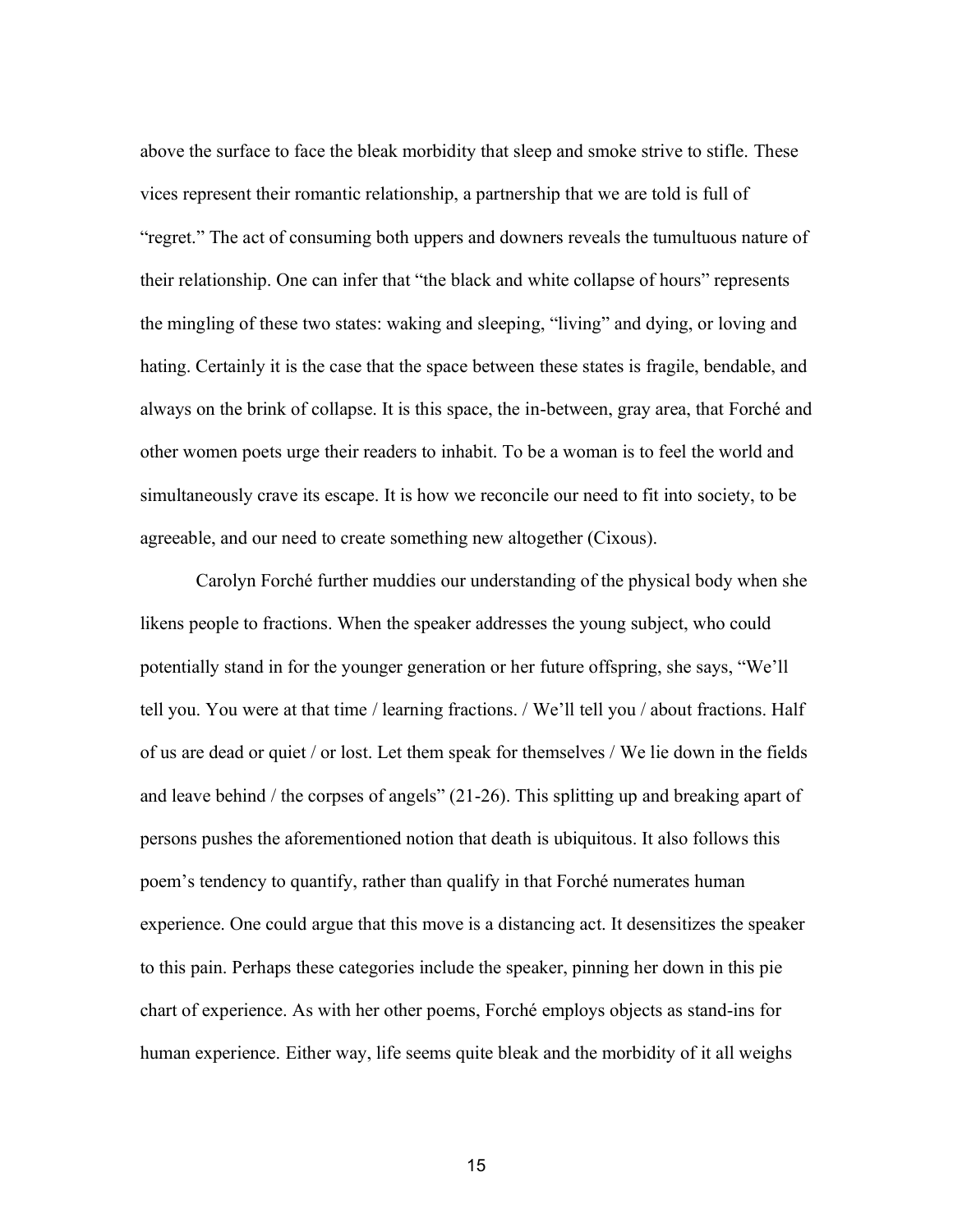above the surface to face the bleak morbidity that sleep and smoke strive to stifle. These vices represent their romantic relationship, a partnership that we are told is full of "regret." The act of consuming both uppers and downers reveals the tumultuous nature of their relationship. One can infer that "the black and white collapse of hours" represents the mingling of these two states: waking and sleeping, "living" and dying, or loving and hating. Certainly it is the case that the space between these states is fragile, bendable, and always on the brink of collapse. It is this space, the in-between, gray area, that Forché and other women poets urge their readers to inhabit. To be a woman is to feel the world and simultaneously crave its escape. It is how we reconcile our need to fit into society, to be agreeable, and our need to create something new altogether (Cixous).

Carolyn Forché further muddies our understanding of the physical body when she likens people to fractions. When the speaker addresses the young subject, who could potentially stand in for the younger generation or her future offspring, she says, "We'll tell you. You were at that time / learning fractions. / We'll tell you / about fractions. Half of us are dead or quiet / or lost. Let them speak for themselves / We lie down in the fields and leave behind / the corpses of angels" (21-26). This splitting up and breaking apart of persons pushes the aforementioned notion that death is ubiquitous. It also follows this poem's tendency to quantify, rather than qualify in that Forché numerates human experience. One could argue that this move is a distancing act. It desensitizes the speaker to this pain. Perhaps these categories include the speaker, pinning her down in this pie chart of experience. As with her other poems, Forché employs objects as stand-ins for human experience. Either way, life seems quite bleak and the morbidity of it all weighs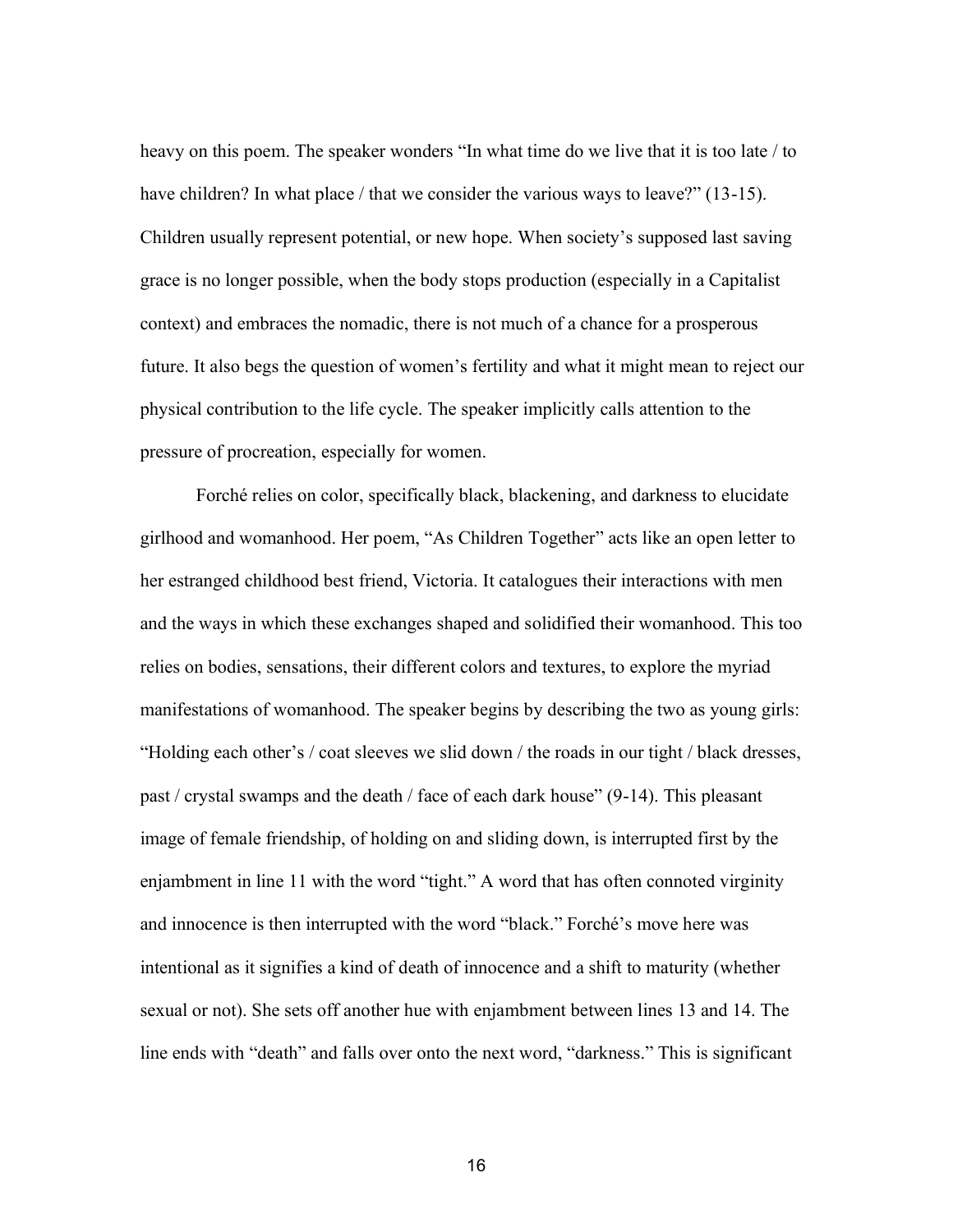heavy on this poem. The speaker wonders "In what time do we live that it is too late / to have children? In what place / that we consider the various ways to leave?" (13-15). Children usually represent potential, or new hope. When society's supposed last saving grace is no longer possible, when the body stops production (especially in a Capitalist context) and embraces the nomadic, there is not much of a chance for a prosperous future. It also begs the question of women's fertility and what it might mean to reject our physical contribution to the life cycle. The speaker implicitly calls attention to the pressure of procreation, especially for women.

Forché relies on color, specifically black, blackening, and darkness to elucidate girlhood and womanhood. Her poem, "As Children Together" acts like an open letter to her estranged childhood best friend, Victoria. It catalogues their interactions with men and the ways in which these exchanges shaped and solidified their womanhood. This too relies on bodies, sensations, their different colors and textures, to explore the myriad manifestations of womanhood. The speaker begins by describing the two as young girls: "Holding each other's / coat sleeves we slid down / the roads in our tight / black dresses, past / crystal swamps and the death / face of each dark house" (9-14). This pleasant image of female friendship, of holding on and sliding down, is interrupted first by the enjambment in line 11 with the word "tight." A word that has often connoted virginity and innocence is then interrupted with the word "black." Forché's move here was intentional as it signifies a kind of death of innocence and a shift to maturity (whether sexual or not). She sets off another hue with enjambment between lines 13 and 14. The line ends with "death" and falls over onto the next word, "darkness." This is significant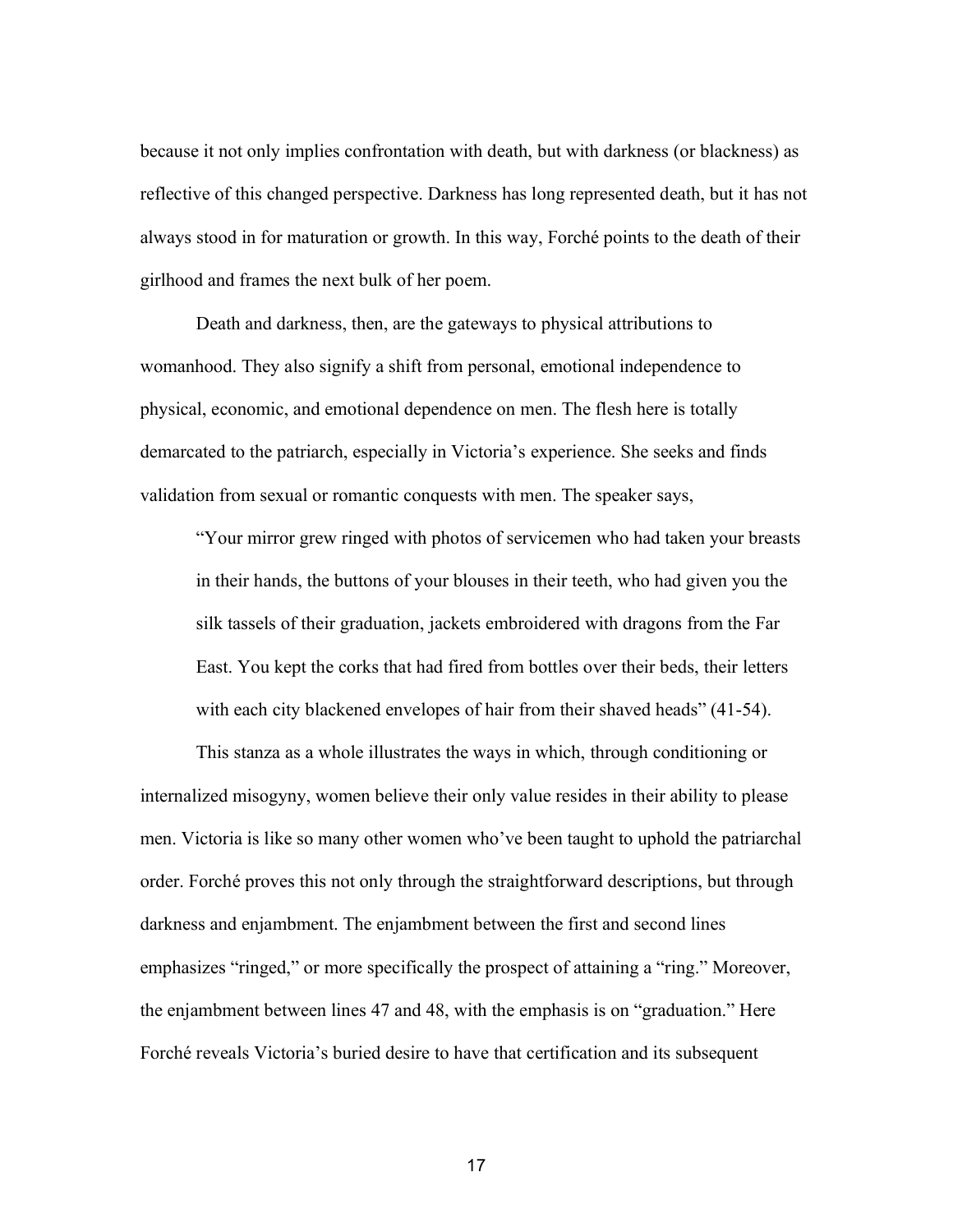because it not only implies confrontation with death, but with darkness (or blackness) as reflective of this changed perspective. Darkness has long represented death, but it has not always stood in for maturation or growth. In this way, Forché points to the death of their girlhood and frames the next bulk of her poem.

Death and darkness, then, are the gateways to physical attributions to womanhood. They also signify a shift from personal, emotional independence to physical, economic, and emotional dependence on men. The flesh here is totally demarcated to the patriarch, especially in Victoria's experience. She seeks and finds validation from sexual or romantic conquests with men. The speaker says,

"Your mirror grew ringed with photos of servicemen who had taken your breasts in their hands, the buttons of your blouses in their teeth, who had given you the silk tassels of their graduation, jackets embroidered with dragons from the Far East. You kept the corks that had fired from bottles over their beds, their letters with each city blackened envelopes of hair from their shaved heads" (41-54).

This stanza as a whole illustrates the ways in which, through conditioning or internalized misogyny, women believe their only value resides in their ability to please men. Victoria is like so many other women who've been taught to uphold the patriarchal order. Forché proves this not only through the straightforward descriptions, but through darkness and enjambment. The enjambment between the first and second lines emphasizes "ringed," or more specifically the prospect of attaining a "ring." Moreover, the enjambment between lines 47 and 48, with the emphasis is on "graduation." Here Forché reveals Victoria's buried desire to have that certification and its subsequent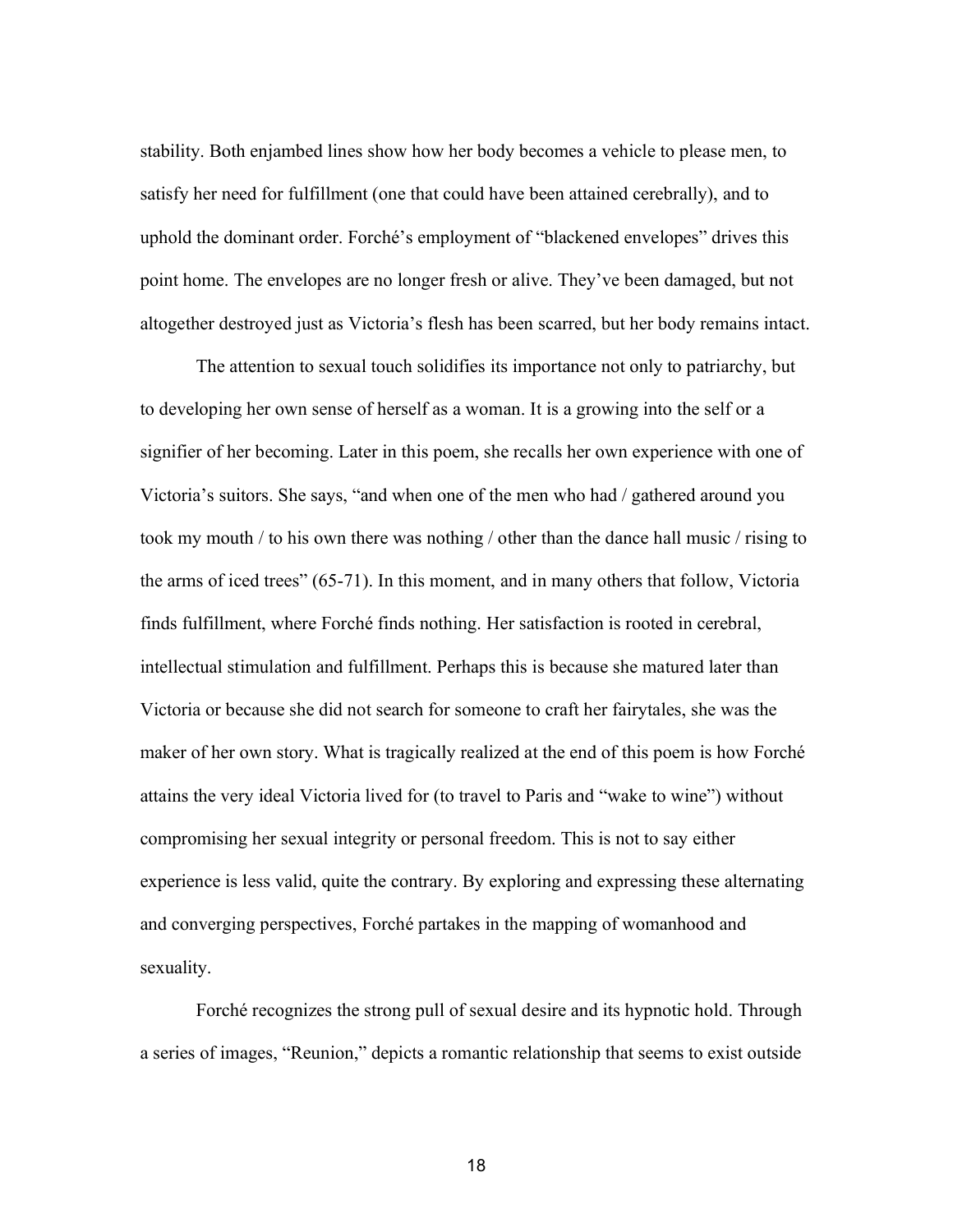stability. Both enjambed lines show how her body becomes a vehicle to please men, to satisfy her need for fulfillment (one that could have been attained cerebrally), and to uphold the dominant order. Forché's employment of "blackened envelopes" drives this point home. The envelopes are no longer fresh or alive. They've been damaged, but not altogether destroyed just as Victoria's flesh has been scarred, but her body remains intact.

The attention to sexual touch solidifies its importance not only to patriarchy, but to developing her own sense of herself as a woman. It is a growing into the self or a signifier of her becoming. Later in this poem, she recalls her own experience with one of Victoria's suitors. She says, "and when one of the men who had / gathered around you took my mouth / to his own there was nothing / other than the dance hall music / rising to the arms of iced trees" (65-71). In this moment, and in many others that follow, Victoria finds fulfillment, where Forché finds nothing. Her satisfaction is rooted in cerebral, intellectual stimulation and fulfillment. Perhaps this is because she matured later than Victoria or because she did not search for someone to craft her fairytales, she was the maker of her own story. What is tragically realized at the end of this poem is how Forché attains the very ideal Victoria lived for (to travel to Paris and "wake to wine") without compromising her sexual integrity or personal freedom. This is not to say either experience is less valid, quite the contrary. By exploring and expressing these alternating and converging perspectives, Forché partakes in the mapping of womanhood and sexuality.

Forché recognizes the strong pull of sexual desire and its hypnotic hold. Through a series of images, "Reunion," depicts a romantic relationship that seems to exist outside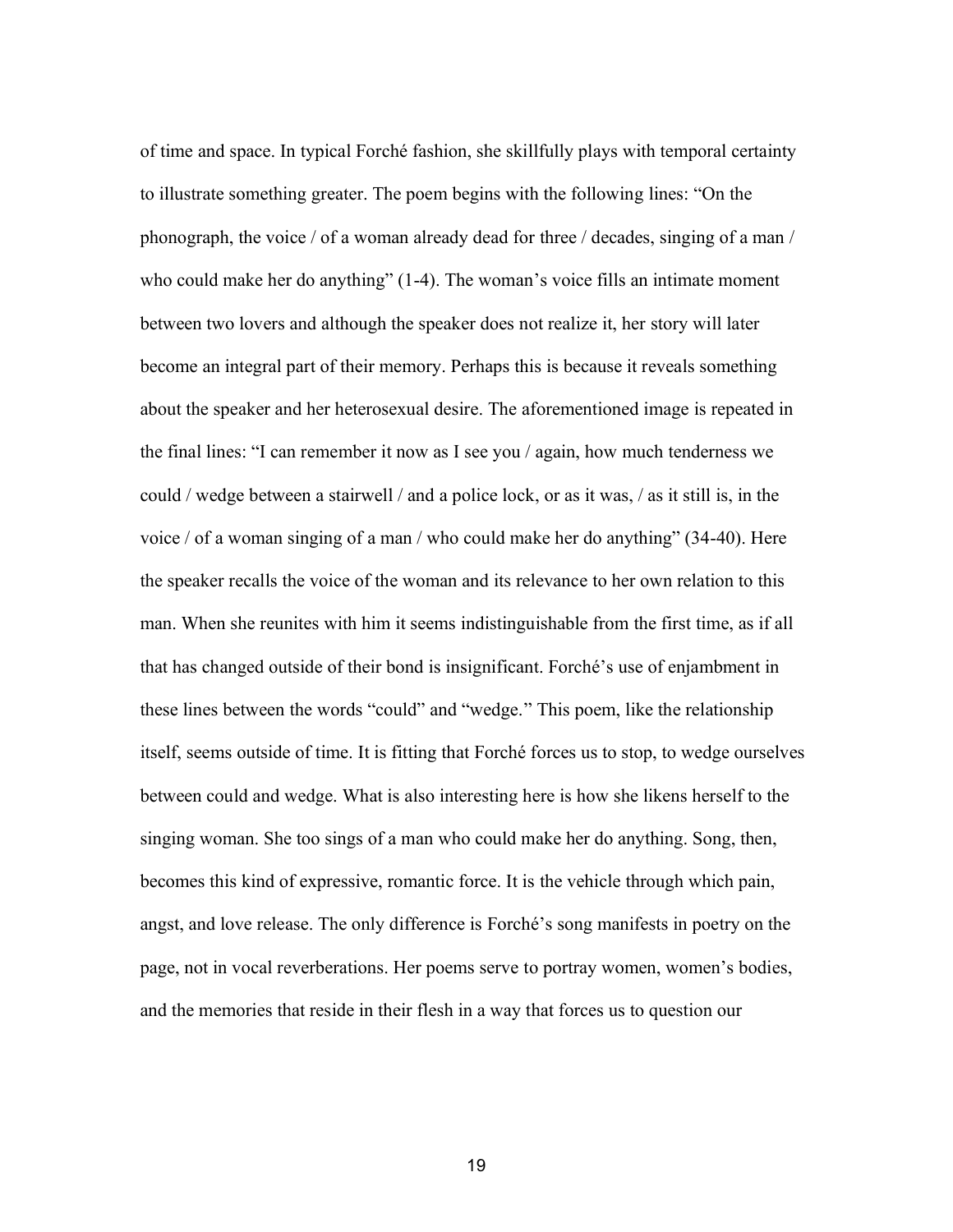of time and space. In typical Forché fashion, she skillfully plays with temporal certainty to illustrate something greater. The poem begins with the following lines: "On the phonograph, the voice / of a woman already dead for three / decades, singing of a man / who could make her do anything" (1-4). The woman's voice fills an intimate moment between two lovers and although the speaker does not realize it, her story will later become an integral part of their memory. Perhaps this is because it reveals something about the speaker and her heterosexual desire. The aforementioned image is repeated in the final lines: "I can remember it now as I see you / again, how much tenderness we could / wedge between a stairwell / and a police lock, or as it was, / as it still is, in the voice / of a woman singing of a man / who could make her do anything" (34-40). Here the speaker recalls the voice of the woman and its relevance to her own relation to this man. When she reunites with him it seems indistinguishable from the first time, as if all that has changed outside of their bond is insignificant. Forché's use of enjambment in these lines between the words "could" and "wedge." This poem, like the relationship itself, seems outside of time. It is fitting that Forché forces us to stop, to wedge ourselves between could and wedge. What is also interesting here is how she likens herself to the singing woman. She too sings of a man who could make her do anything. Song, then, becomes this kind of expressive, romantic force. It is the vehicle through which pain, angst, and love release. The only difference is Forché's song manifests in poetry on the page, not in vocal reverberations. Her poems serve to portray women, women's bodies, and the memories that reside in their flesh in a way that forces us to question our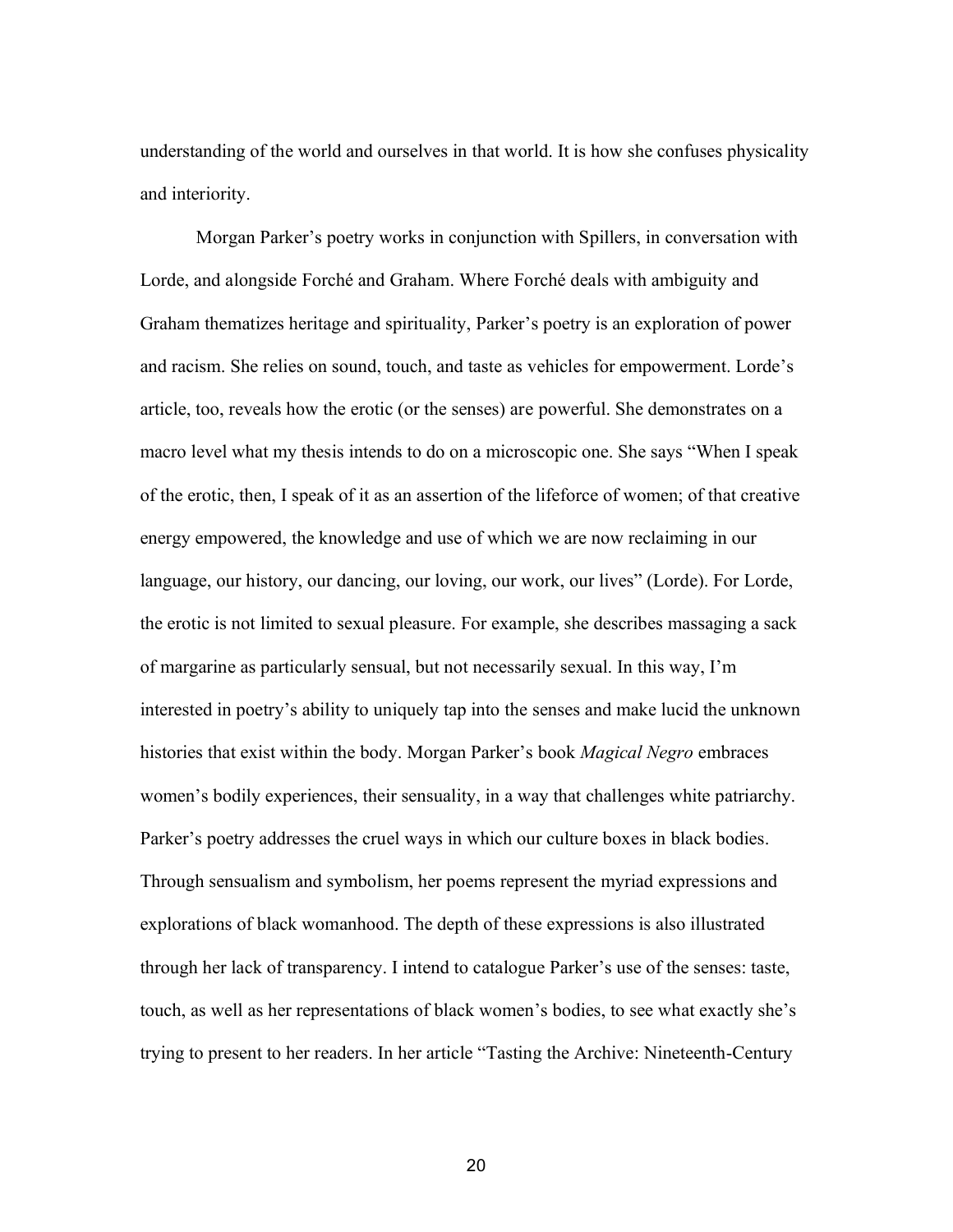understanding of the world and ourselves in that world. It is how she confuses physicality and interiority.

Morgan Parker's poetry works in conjunction with Spillers, in conversation with Lorde, and alongside Forché and Graham. Where Forché deals with ambiguity and Graham thematizes heritage and spirituality, Parker's poetry is an exploration of power and racism. She relies on sound, touch, and taste as vehicles for empowerment. Lorde's article, too, reveals how the erotic (or the senses) are powerful. She demonstrates on a macro level what my thesis intends to do on a microscopic one. She says "When I speak of the erotic, then, I speak of it as an assertion of the lifeforce of women; of that creative energy empowered, the knowledge and use of which we are now reclaiming in our language, our history, our dancing, our loving, our work, our lives" (Lorde). For Lorde, the erotic is not limited to sexual pleasure. For example, she describes massaging a sack of margarine as particularly sensual, but not necessarily sexual. In this way, I'm interested in poetry's ability to uniquely tap into the senses and make lucid the unknown histories that exist within the body. Morgan Parker's book *Magical Negro* embraces women's bodily experiences, their sensuality, in a way that challenges white patriarchy. Parker's poetry addresses the cruel ways in which our culture boxes in black bodies. Through sensualism and symbolism, her poems represent the myriad expressions and explorations of black womanhood. The depth of these expressions is also illustrated through her lack of transparency. I intend to catalogue Parker's use of the senses: taste, touch, as well as her representations of black women's bodies, to see what exactly she's trying to present to her readers. In her article "Tasting the Archive: Nineteenth-Century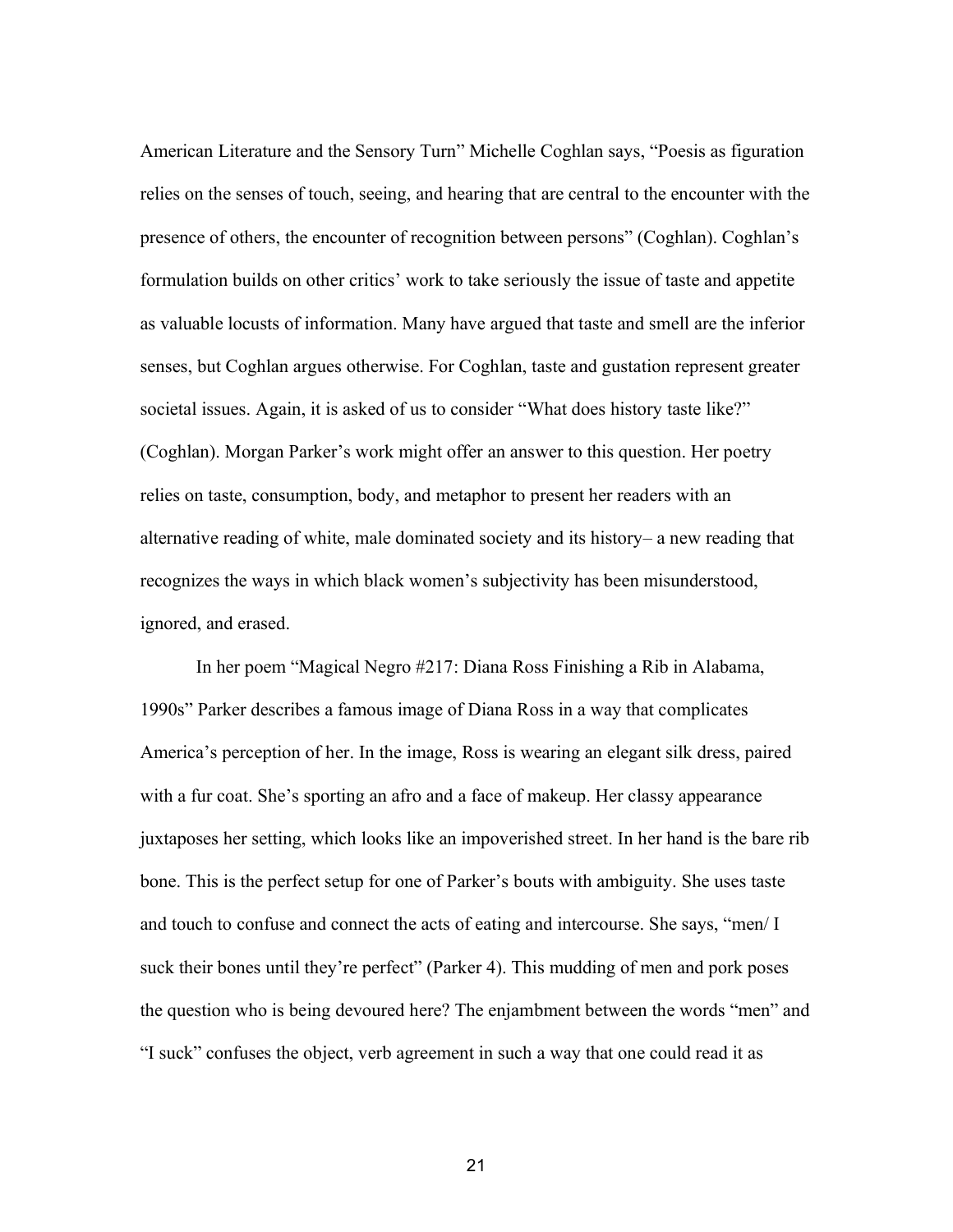American Literature and the Sensory Turn" Michelle Coghlan says, "Poesis as figuration relies on the senses of touch, seeing, and hearing that are central to the encounter with the presence of others, the encounter of recognition between persons" (Coghlan). Coghlan's formulation builds on other critics' work to take seriously the issue of taste and appetite as valuable locusts of information. Many have argued that taste and smell are the inferior senses, but Coghlan argues otherwise. For Coghlan, taste and gustation represent greater societal issues. Again, it is asked of us to consider "What does history taste like?" (Coghlan). Morgan Parker's work might offer an answer to this question. Her poetry relies on taste, consumption, body, and metaphor to present her readers with an alternative reading of white, male dominated society and its history– a new reading that recognizes the ways in which black women's subjectivity has been misunderstood, ignored, and erased.

In her poem "Magical Negro #217: Diana Ross Finishing a Rib in Alabama, 1990s" Parker describes a famous image of Diana Ross in a way that complicates America's perception of her. In the image, Ross is wearing an elegant silk dress, paired with a fur coat. She's sporting an afro and a face of makeup. Her classy appearance juxtaposes her setting, which looks like an impoverished street. In her hand is the bare rib bone. This is the perfect setup for one of Parker's bouts with ambiguity. She uses taste and touch to confuse and connect the acts of eating and intercourse. She says, "men/ I suck their bones until they're perfect" (Parker 4). This mudding of men and pork poses the question who is being devoured here? The enjambment between the words "men" and "I suck" confuses the object, verb agreement in such a way that one could read it as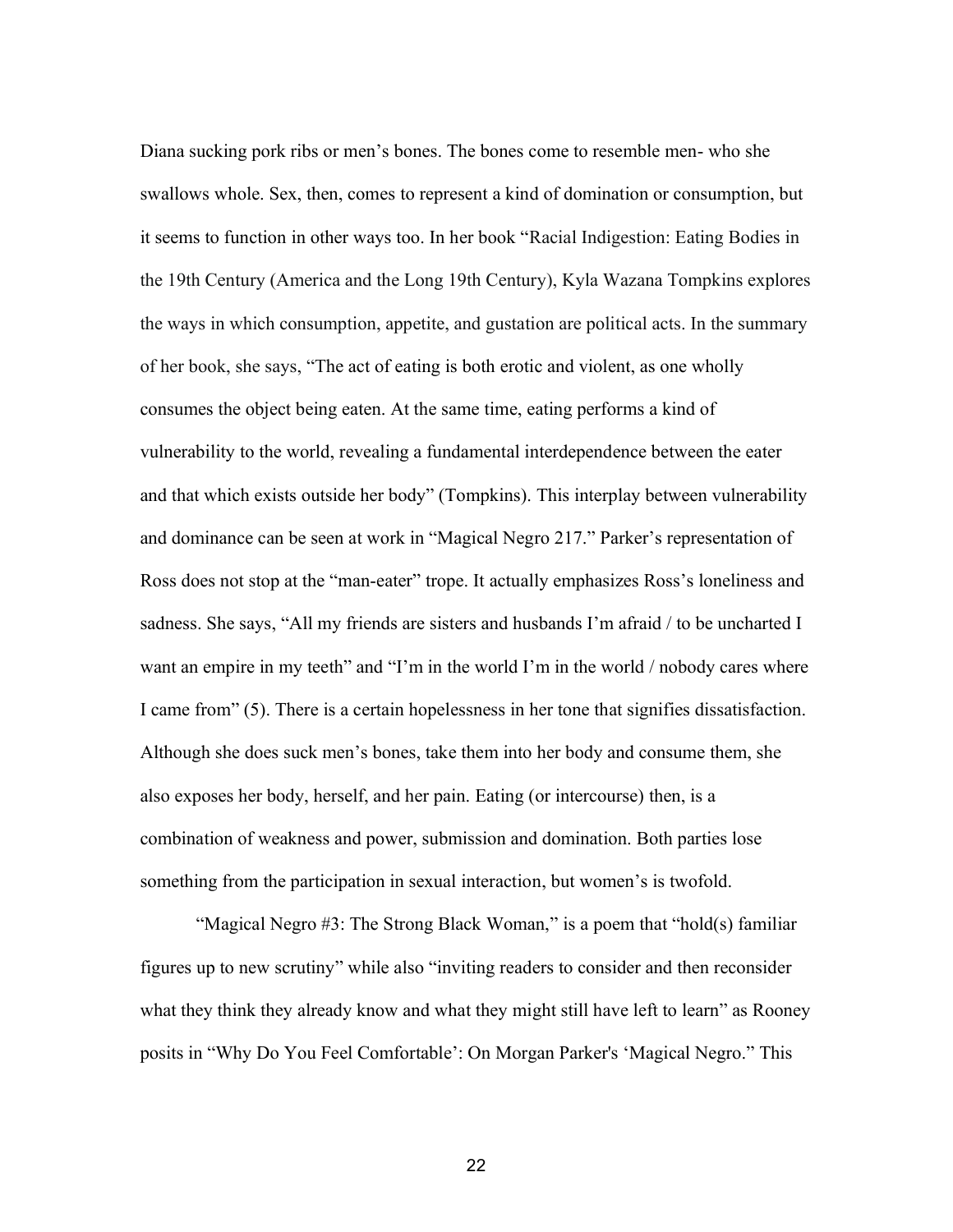Diana sucking pork ribs or men's bones. The bones come to resemble men- who she swallows whole. Sex, then, comes to represent a kind of domination or consumption, but it seems to function in other ways too. In her book "Racial Indigestion: Eating Bodies in the 19th Century (America and the Long 19th Century), Kyla Wazana Tompkins explores the ways in which consumption, appetite, and gustation are political acts. In the summary of her book, she says, "The act of eating is both erotic and violent, as one wholly consumes the object being eaten. At the same time, eating performs a kind of vulnerability to the world, revealing a fundamental interdependence between the eater and that which exists outside her body" (Tompkins). This interplay between vulnerability and dominance can be seen at work in "Magical Negro 217." Parker's representation of Ross does not stop at the "man-eater" trope. It actually emphasizes Ross's loneliness and sadness. She says, "All my friends are sisters and husbands I'm afraid / to be uncharted I want an empire in my teeth" and "I'm in the world I'm in the world / nobody cares where I came from" (5). There is a certain hopelessness in her tone that signifies dissatisfaction. Although she does suck men's bones, take them into her body and consume them, she also exposes her body, herself, and her pain. Eating (or intercourse) then, is a combination of weakness and power, submission and domination. Both parties lose something from the participation in sexual interaction, but women's is twofold.

"Magical Negro #3: The Strong Black Woman," is a poem that "hold(s) familiar figures up to new scrutiny" while also "inviting readers to consider and then reconsider what they think they already know and what they might still have left to learn" as Rooney posits in "Why Do You Feel Comfortable': On Morgan Parker's 'Magical Negro." This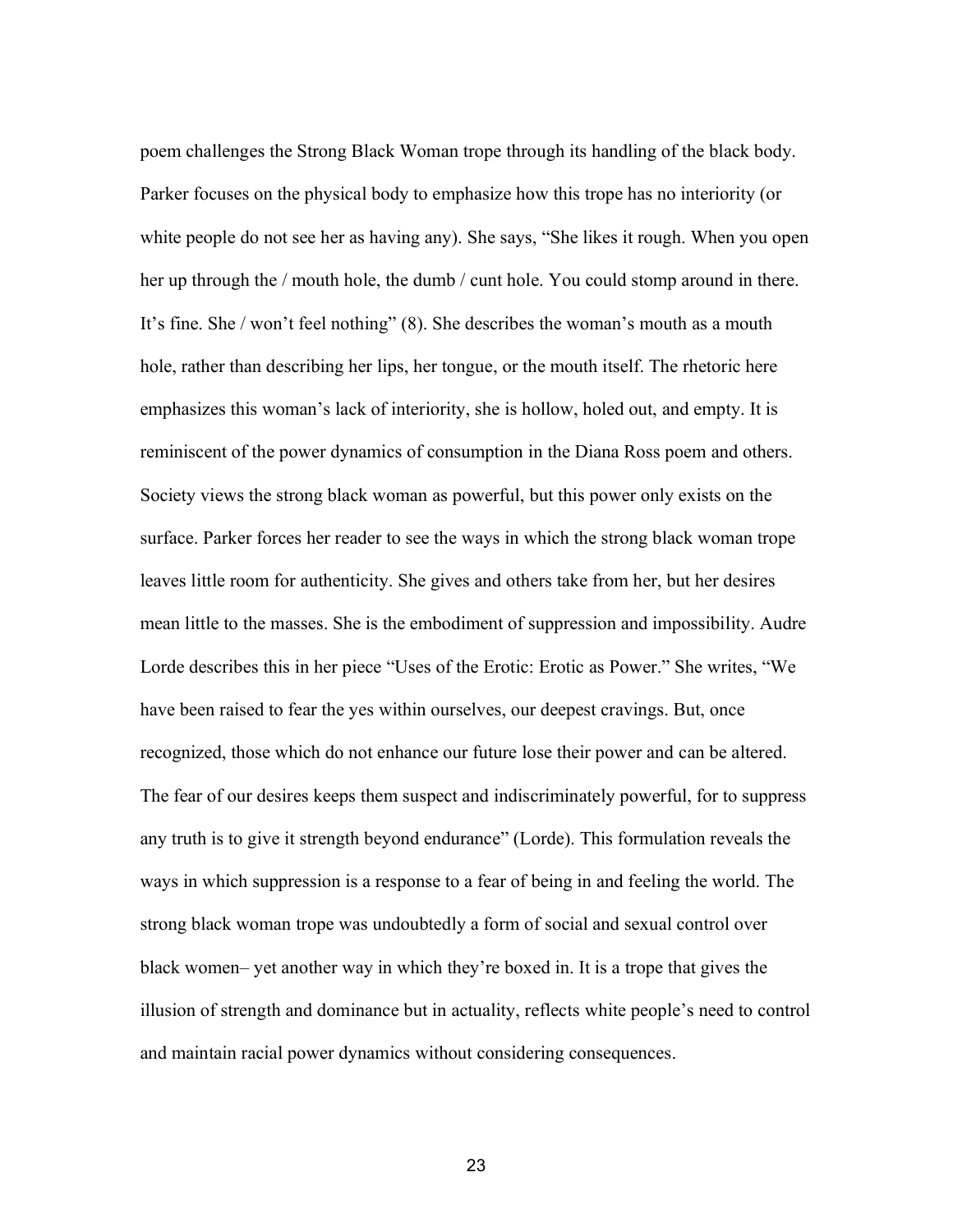poem challenges the Strong Black Woman trope through its handling of the black body. Parker focuses on the physical body to emphasize how this trope has no interiority (or white people do not see her as having any). She says, "She likes it rough. When you open her up through the / mouth hole, the dumb / cunt hole. You could stomp around in there. It's fine. She / won't feel nothing" (8). She describes the woman's mouth as a mouth hole, rather than describing her lips, her tongue, or the mouth itself. The rhetoric here emphasizes this woman's lack of interiority, she is hollow, holed out, and empty. It is reminiscent of the power dynamics of consumption in the Diana Ross poem and others. Society views the strong black woman as powerful, but this power only exists on the surface. Parker forces her reader to see the ways in which the strong black woman trope leaves little room for authenticity. She gives and others take from her, but her desires mean little to the masses. She is the embodiment of suppression and impossibility. Audre Lorde describes this in her piece "Uses of the Erotic: Erotic as Power." She writes, "We have been raised to fear the yes within ourselves, our deepest cravings. But, once recognized, those which do not enhance our future lose their power and can be altered. The fear of our desires keeps them suspect and indiscriminately powerful, for to suppress any truth is to give it strength beyond endurance" (Lorde). This formulation reveals the ways in which suppression is a response to a fear of being in and feeling the world. The strong black woman trope was undoubtedly a form of social and sexual control over black women– yet another way in which they're boxed in. It is a trope that gives the illusion of strength and dominance but in actuality, reflects white people's need to control and maintain racial power dynamics without considering consequences.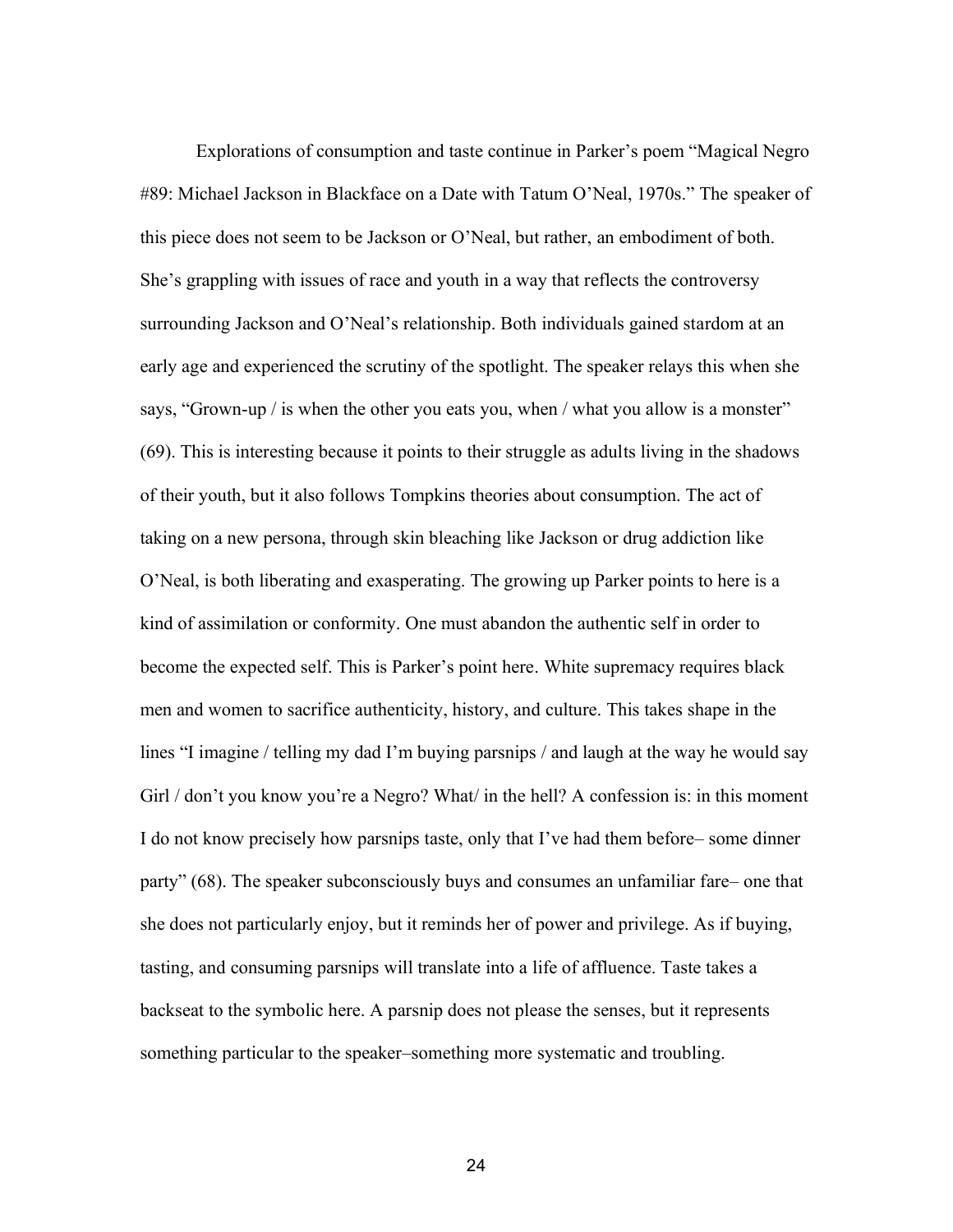Explorations of consumption and taste continue in Parker's poem "Magical Negro #89: Michael Jackson in Blackface on a Date with Tatum O'Neal, 1970s." The speaker of this piece does not seem to be Jackson or O'Neal, but rather, an embodiment of both. She's grappling with issues of race and youth in a way that reflects the controversy surrounding Jackson and O'Neal's relationship. Both individuals gained stardom at an early age and experienced the scrutiny of the spotlight. The speaker relays this when she says, "Grown-up / is when the other you eats you, when / what you allow is a monster" (69). This is interesting because it points to their struggle as adults living in the shadows of their youth, but it also follows Tompkins theories about consumption. The act of taking on a new persona, through skin bleaching like Jackson or drug addiction like O'Neal, is both liberating and exasperating. The growing up Parker points to here is a kind of assimilation or conformity. One must abandon the authentic self in order to become the expected self. This is Parker's point here. White supremacy requires black men and women to sacrifice authenticity, history, and culture. This takes shape in the lines "I imagine / telling my dad I'm buying parsnips / and laugh at the way he would say Girl / don't you know you're a Negro? What/ in the hell? A confession is: in this moment I do not know precisely how parsnips taste, only that I've had them before– some dinner party" (68). The speaker subconsciously buys and consumes an unfamiliar fare– one that she does not particularly enjoy, but it reminds her of power and privilege. As if buying, tasting, and consuming parsnips will translate into a life of affluence. Taste takes a backseat to the symbolic here. A parsnip does not please the senses, but it represents something particular to the speaker–something more systematic and troubling.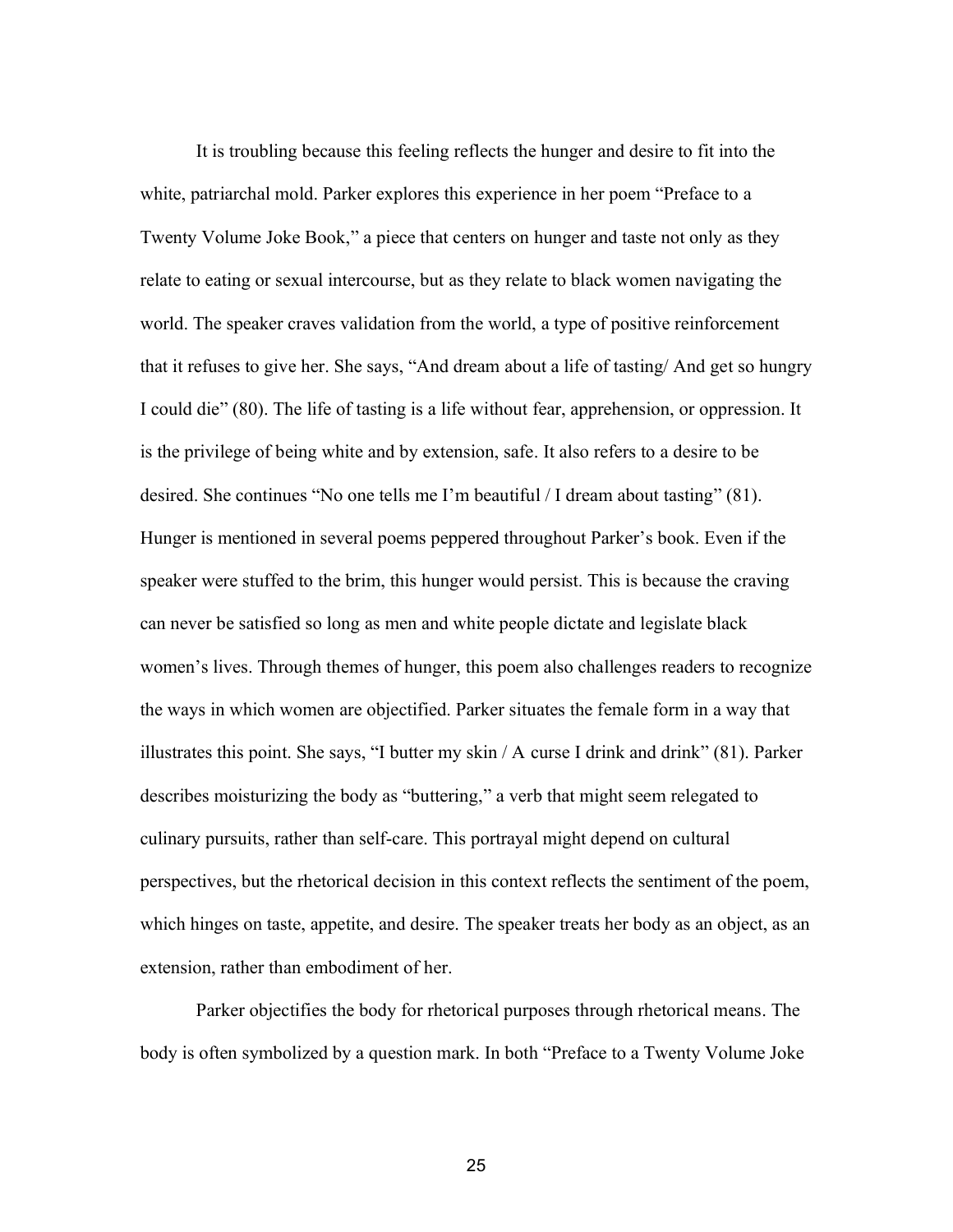It is troubling because this feeling reflects the hunger and desire to fit into the white, patriarchal mold. Parker explores this experience in her poem "Preface to a Twenty Volume Joke Book," a piece that centers on hunger and taste not only as they relate to eating or sexual intercourse, but as they relate to black women navigating the world. The speaker craves validation from the world, a type of positive reinforcement that it refuses to give her. She says, "And dream about a life of tasting/ And get so hungry I could die" (80). The life of tasting is a life without fear, apprehension, or oppression. It is the privilege of being white and by extension, safe. It also refers to a desire to be desired. She continues "No one tells me I'm beautiful / I dream about tasting" (81). Hunger is mentioned in several poems peppered throughout Parker's book. Even if the speaker were stuffed to the brim, this hunger would persist. This is because the craving can never be satisfied so long as men and white people dictate and legislate black women's lives. Through themes of hunger, this poem also challenges readers to recognize the ways in which women are objectified. Parker situates the female form in a way that illustrates this point. She says, "I butter my skin / A curse I drink and drink" (81). Parker describes moisturizing the body as "buttering," a verb that might seem relegated to culinary pursuits, rather than self-care. This portrayal might depend on cultural perspectives, but the rhetorical decision in this context reflects the sentiment of the poem, which hinges on taste, appetite, and desire. The speaker treats her body as an object, as an extension, rather than embodiment of her.

Parker objectifies the body for rhetorical purposes through rhetorical means. The body is often symbolized by a question mark. In both "Preface to a Twenty Volume Joke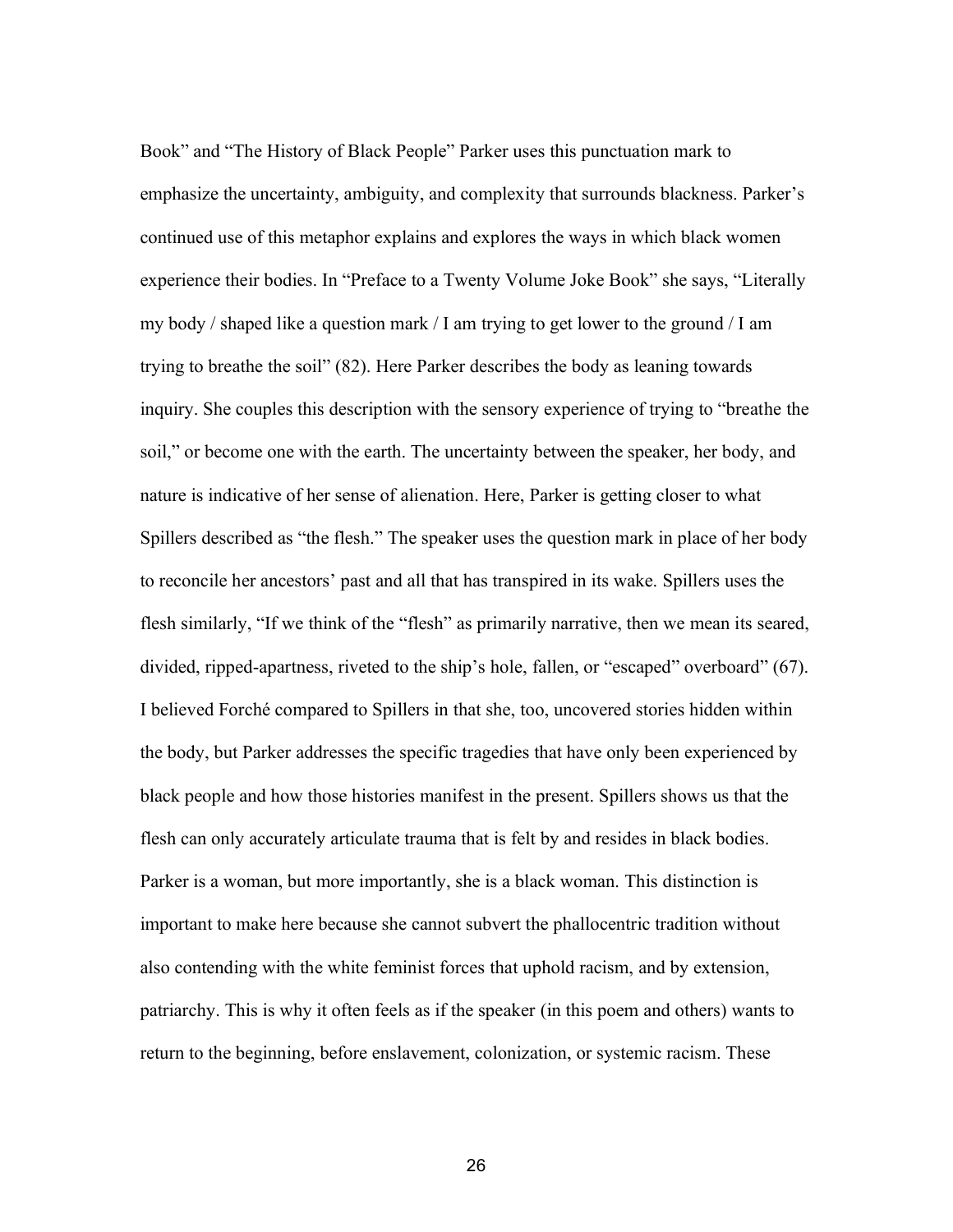Book" and "The History of Black People" Parker uses this punctuation mark to emphasize the uncertainty, ambiguity, and complexity that surrounds blackness. Parker's continued use of this metaphor explains and explores the ways in which black women experience their bodies. In "Preface to a Twenty Volume Joke Book" she says, "Literally my body / shaped like a question mark / I am trying to get lower to the ground / I am trying to breathe the soil" (82). Here Parker describes the body as leaning towards inquiry. She couples this description with the sensory experience of trying to "breathe the soil," or become one with the earth. The uncertainty between the speaker, her body, and nature is indicative of her sense of alienation. Here, Parker is getting closer to what Spillers described as "the flesh." The speaker uses the question mark in place of her body to reconcile her ancestors' past and all that has transpired in its wake. Spillers uses the flesh similarly, "If we think of the "flesh" as primarily narrative, then we mean its seared, divided, ripped-apartness, riveted to the ship's hole, fallen, or "escaped" overboard" (67). I believed Forché compared to Spillers in that she, too, uncovered stories hidden within the body, but Parker addresses the specific tragedies that have only been experienced by black people and how those histories manifest in the present. Spillers shows us that the flesh can only accurately articulate trauma that is felt by and resides in black bodies. Parker is a woman, but more importantly, she is a black woman. This distinction is important to make here because she cannot subvert the phallocentric tradition without also contending with the white feminist forces that uphold racism, and by extension, patriarchy. This is why it often feels as if the speaker (in this poem and others) wants to return to the beginning, before enslavement, colonization, or systemic racism. These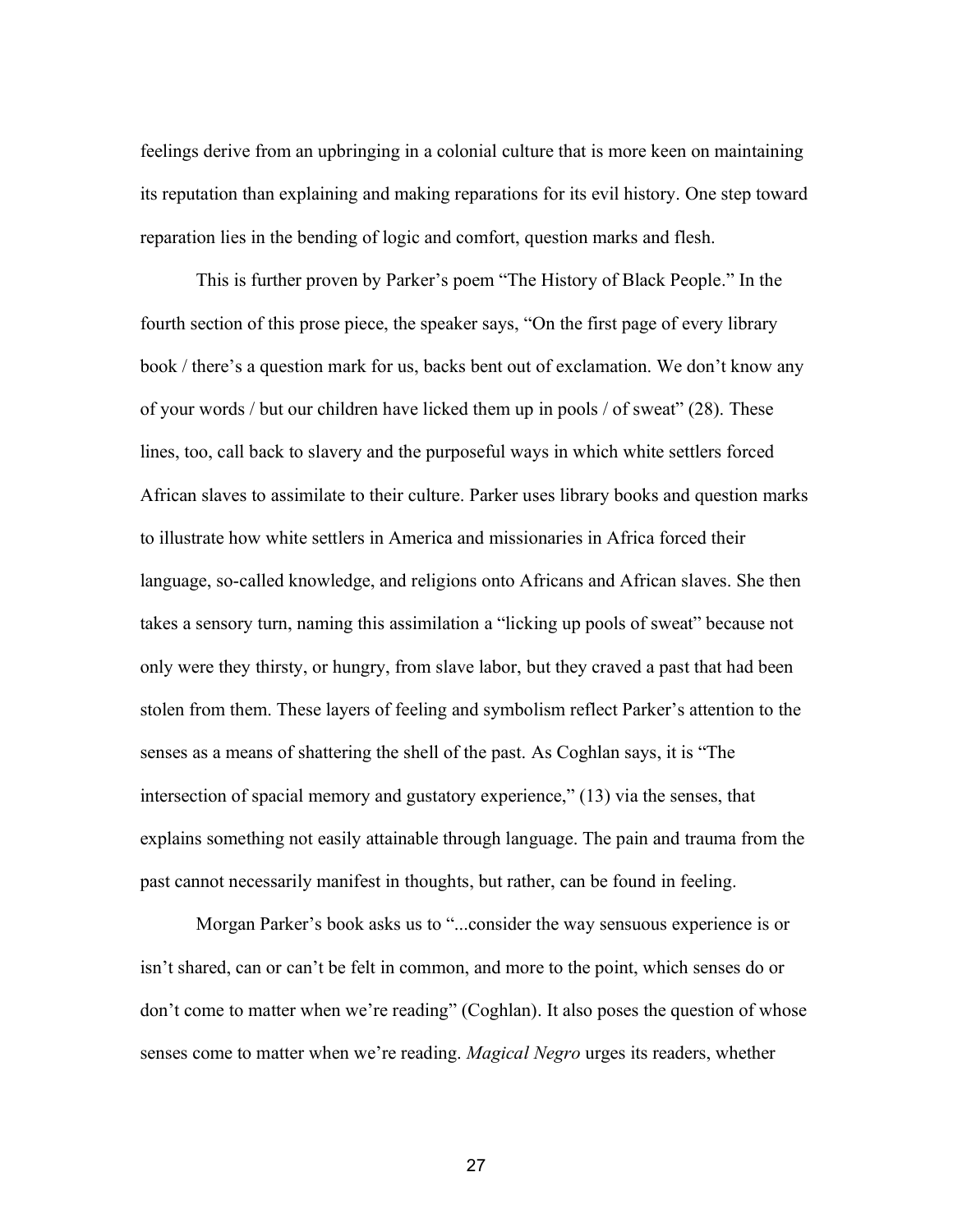feelings derive from an upbringing in a colonial culture that is more keen on maintaining its reputation than explaining and making reparations for its evil history. One step toward reparation lies in the bending of logic and comfort, question marks and flesh.

This is further proven by Parker's poem "The History of Black People." In the fourth section of this prose piece, the speaker says, "On the first page of every library book / there's a question mark for us, backs bent out of exclamation. We don't know any of your words / but our children have licked them up in pools / of sweat" (28). These lines, too, call back to slavery and the purposeful ways in which white settlers forced African slaves to assimilate to their culture. Parker uses library books and question marks to illustrate how white settlers in America and missionaries in Africa forced their language, so-called knowledge, and religions onto Africans and African slaves. She then takes a sensory turn, naming this assimilation a "licking up pools of sweat" because not only were they thirsty, or hungry, from slave labor, but they craved a past that had been stolen from them. These layers of feeling and symbolism reflect Parker's attention to the senses as a means of shattering the shell of the past. As Coghlan says, it is "The intersection of spacial memory and gustatory experience," (13) via the senses, that explains something not easily attainable through language. The pain and trauma from the past cannot necessarily manifest in thoughts, but rather, can be found in feeling.

Morgan Parker's book asks us to "...consider the way sensuous experience is or isn't shared, can or can't be felt in common, and more to the point, which senses do or don't come to matter when we're reading" (Coghlan). It also poses the question of whose senses come to matter when we're reading. *Magical Negro* urges its readers, whether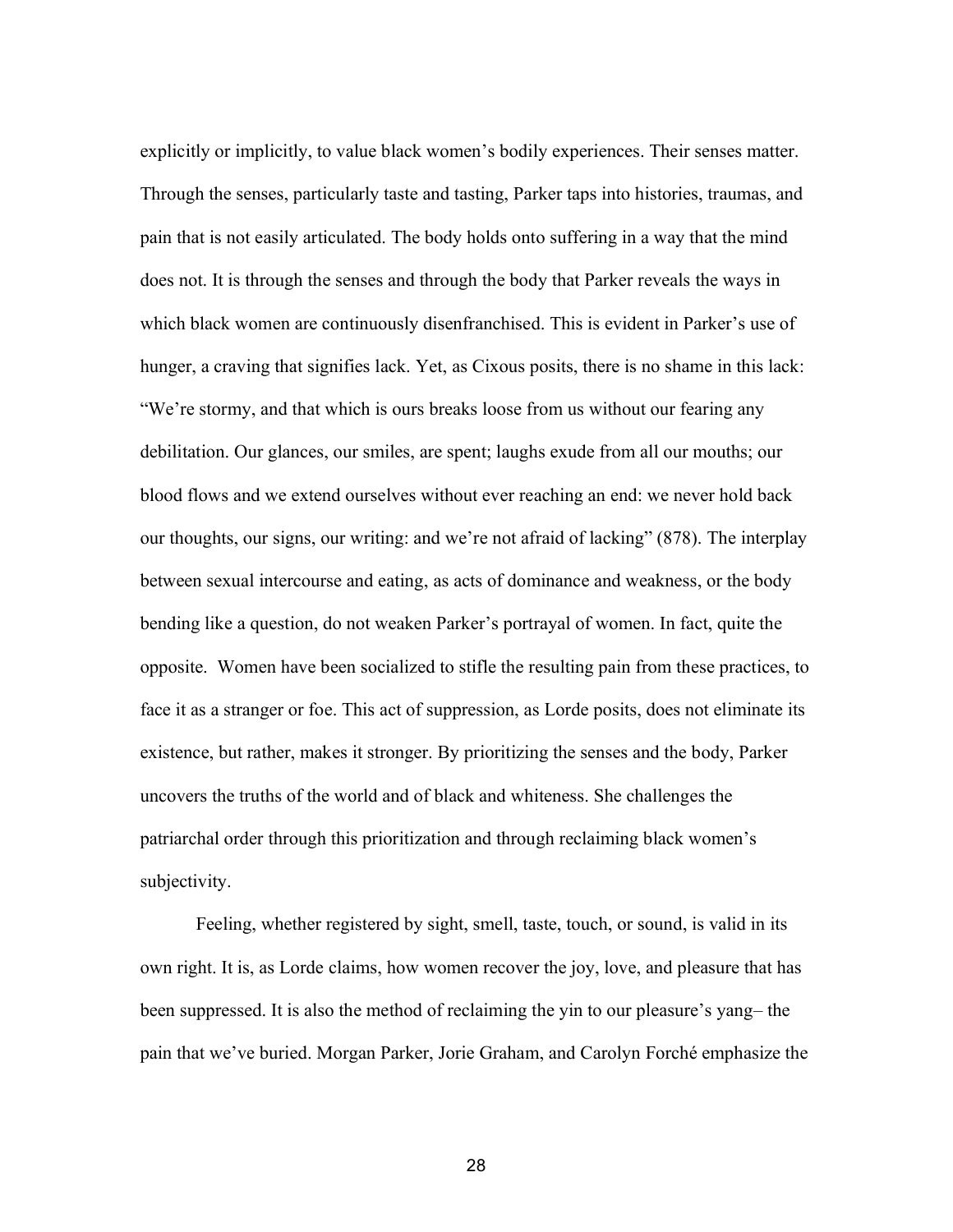explicitly or implicitly, to value black women's bodily experiences. Their senses matter. Through the senses, particularly taste and tasting, Parker taps into histories, traumas, and pain that is not easily articulated. The body holds onto suffering in a way that the mind does not. It is through the senses and through the body that Parker reveals the ways in which black women are continuously disenfranchised. This is evident in Parker's use of hunger, a craving that signifies lack. Yet, as Cixous posits, there is no shame in this lack: "We're stormy, and that which is ours breaks loose from us without our fearing any debilitation. Our glances, our smiles, are spent; laughs exude from all our mouths; our blood flows and we extend ourselves without ever reaching an end: we never hold back our thoughts, our signs, our writing: and we're not afraid of lacking" (878). The interplay between sexual intercourse and eating, as acts of dominance and weakness, or the body bending like a question, do not weaken Parker's portrayal of women. In fact, quite the opposite. Women have been socialized to stifle the resulting pain from these practices, to face it as a stranger or foe. This act of suppression, as Lorde posits, does not eliminate its existence, but rather, makes it stronger. By prioritizing the senses and the body, Parker uncovers the truths of the world and of black and whiteness. She challenges the patriarchal order through this prioritization and through reclaiming black women's subjectivity.

Feeling, whether registered by sight, smell, taste, touch, or sound, is valid in its own right. It is, as Lorde claims, how women recover the joy, love, and pleasure that has been suppressed. It is also the method of reclaiming the yin to our pleasure's yang– the pain that we've buried. Morgan Parker, Jorie Graham, and Carolyn Forché emphasize the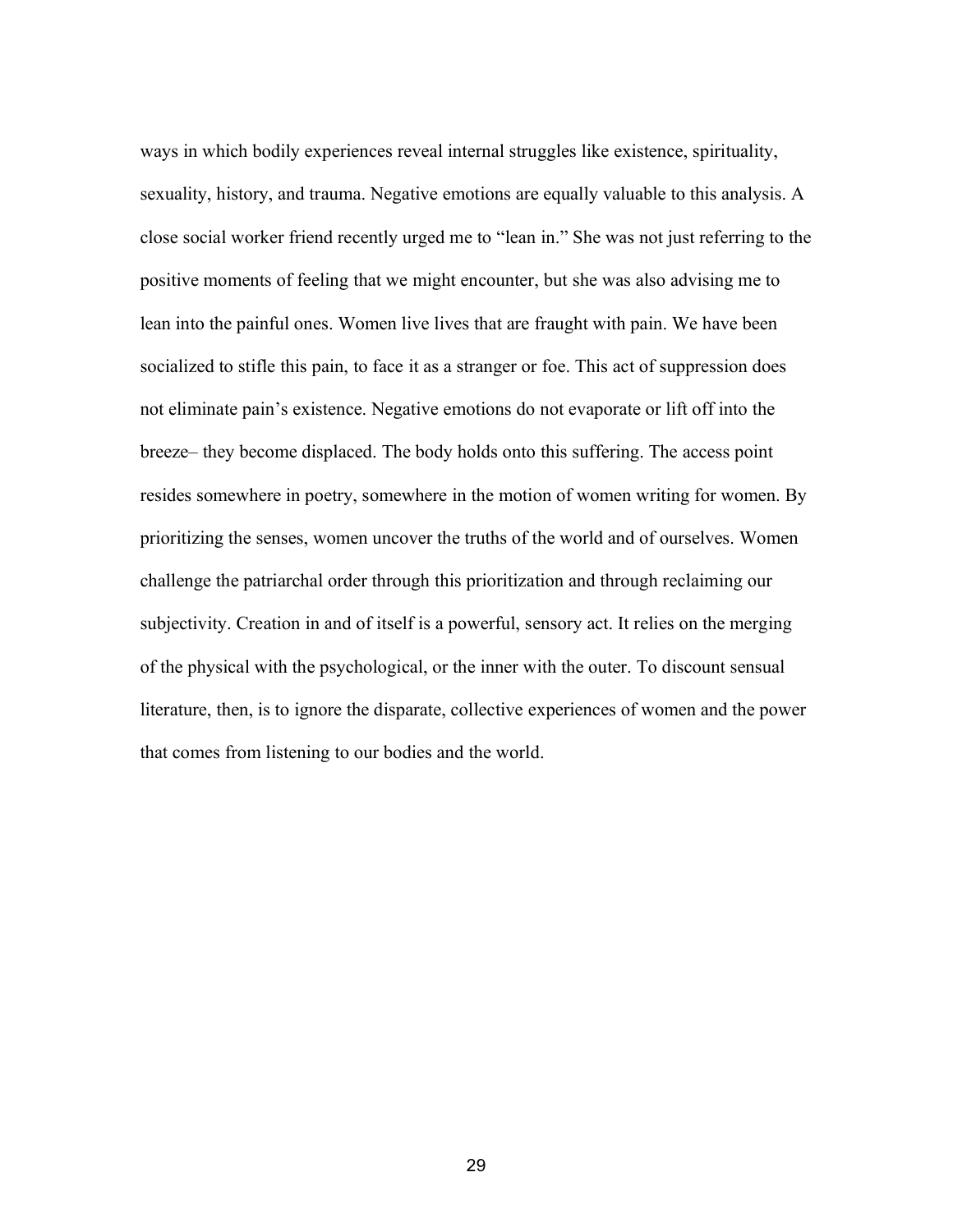ways in which bodily experiences reveal internal struggles like existence, spirituality, sexuality, history, and trauma. Negative emotions are equally valuable to this analysis. A close social worker friend recently urged me to "lean in." She was not just referring to the positive moments of feeling that we might encounter, but she was also advising me to lean into the painful ones. Women live lives that are fraught with pain. We have been socialized to stifle this pain, to face it as a stranger or foe. This act of suppression does not eliminate pain's existence. Negative emotions do not evaporate or lift off into the breeze– they become displaced. The body holds onto this suffering. The access point resides somewhere in poetry, somewhere in the motion of women writing for women. By prioritizing the senses, women uncover the truths of the world and of ourselves. Women challenge the patriarchal order through this prioritization and through reclaiming our subjectivity. Creation in and of itself is a powerful, sensory act. It relies on the merging of the physical with the psychological, or the inner with the outer. To discount sensual literature, then, is to ignore the disparate, collective experiences of women and the power that comes from listening to our bodies and the world.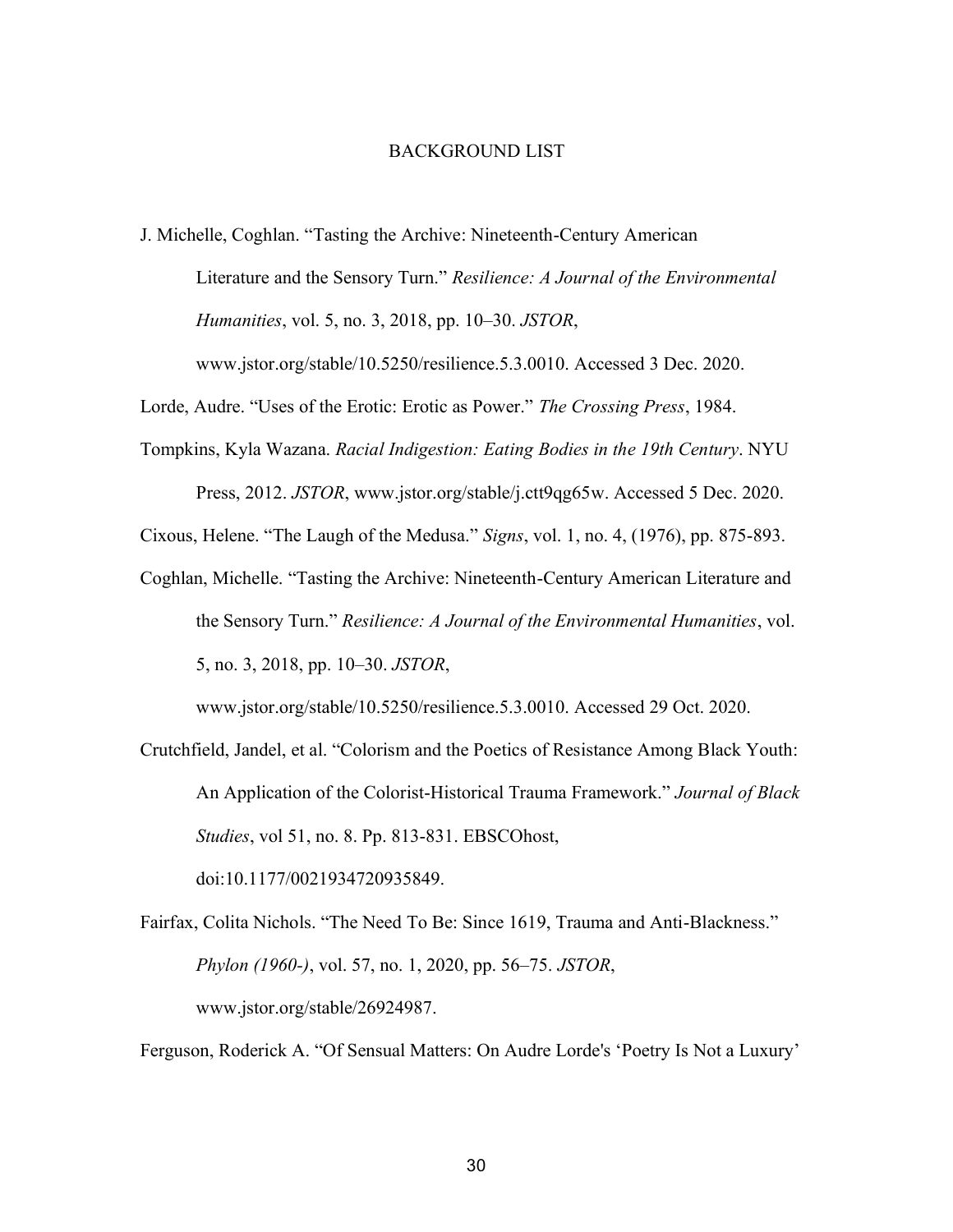#### BACKGROUND LIST

J. Michelle, Coghlan. "Tasting the Archive: Nineteenth-Century American Literature and the Sensory Turn." *Resilience: A Journal of the Environmental Humanities*, vol. 5, no. 3, 2018, pp. 10–30. *JSTOR*, www.jstor.org/stable/10.5250/resilience.5.3.0010. Accessed 3 Dec. 2020.

Lorde, Audre. "Uses of the Erotic: Erotic as Power." *The Crossing Press*, 1984.

Tompkins, Kyla Wazana. *Racial Indigestion: Eating Bodies in the 19th Century*. NYU Press, 2012. *JSTOR*, www.jstor.org/stable/j.ctt9qg65w. Accessed 5 Dec. 2020.

Cixous, Helene. "The Laugh of the Medusa." *Signs*, vol. 1, no. 4, (1976), pp. 875-893.

Coghlan, Michelle. "Tasting the Archive: Nineteenth-Century American Literature and the Sensory Turn." *Resilience: A Journal of the Environmental Humanities*, vol. 5, no. 3, 2018, pp. 10–30. *JSTOR*,

www.jstor.org/stable/10.5250/resilience.5.3.0010. Accessed 29 Oct. 2020.

Crutchfield, Jandel, et al. "Colorism and the Poetics of Resistance Among Black Youth: An Application of the Colorist-Historical Trauma Framework." *Journal of Black Studies*, vol 51, no. 8. Pp. 813-831. EBSCOhost,

Fairfax, Colita Nichols. "The Need To Be: Since 1619, Trauma and Anti-Blackness." *Phylon (1960-)*, vol. 57, no. 1, 2020, pp. 56–75. *JSTOR*, www.jstor.org/stable/26924987.

doi:10.1177/0021934720935849.

Ferguson, Roderick A. "Of Sensual Matters: On Audre Lorde's 'Poetry Is Not a Luxury'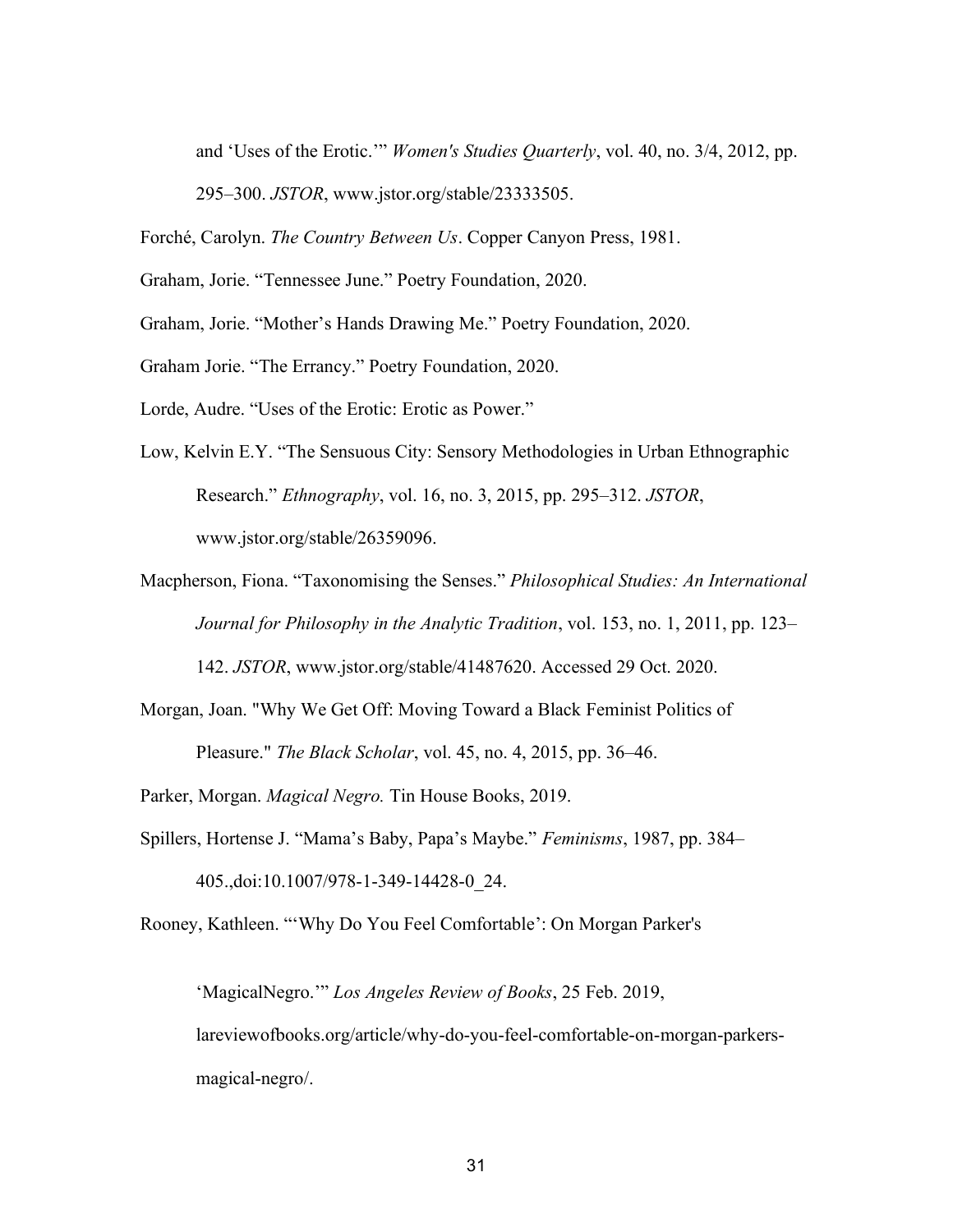and 'Uses of the Erotic.'" *Women's Studies Quarterly*, vol. 40, no. 3/4, 2012, pp.

295–300. *JSTOR*, www.jstor.org/stable/23333505.

Forché, Carolyn. *The Country Between Us*. Copper Canyon Press, 1981.

Graham, Jorie. "Tennessee June." Poetry Foundation, 2020.

Graham, Jorie. "Mother's Hands Drawing Me." Poetry Foundation, 2020.

Graham Jorie. "The Errancy." Poetry Foundation, 2020.

Lorde, Audre. "Uses of the Erotic: Erotic as Power."

- Low, Kelvin E.Y. "The Sensuous City: Sensory Methodologies in Urban Ethnographic Research." *Ethnography*, vol. 16, no. 3, 2015, pp. 295–312. *JSTOR*, www.jstor.org/stable/26359096.
- Macpherson, Fiona. "Taxonomising the Senses." *Philosophical Studies: An International Journal for Philosophy in the Analytic Tradition*, vol. 153, no. 1, 2011, pp. 123–

142. *JSTOR*, www.jstor.org/stable/41487620. Accessed 29 Oct. 2020.

Morgan, Joan. "Why We Get Off: Moving Toward a Black Feminist Politics of Pleasure." *The Black Scholar*, vol. 45, no. 4, 2015, pp. 36–46.

Parker, Morgan. *Magical Negro.* Tin House Books, 2019.

Spillers, Hortense J. "Mama's Baby, Papa's Maybe." *Feminisms*, 1987, pp. 384– 405.,doi:10.1007/978-1-349-14428-0\_24.

Rooney, Kathleen. "'Why Do You Feel Comfortable': On Morgan Parker's

'MagicalNegro.'" *Los Angeles Review of Books*, 25 Feb. 2019, lareviewofbooks.org/article/why-do-you-feel-comfortable-on-morgan-parkersmagical-negro/.